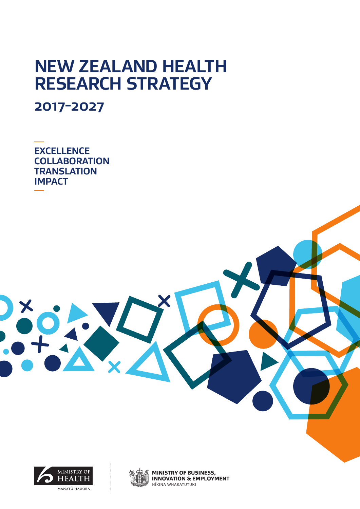# **NEW ZEALAND HEALTH RESEARCH STRATEGY**

**2017-2027** 

**EXCELLENCE COLLABORATION TRANSLATION IMPACT**



DXXXX



**MINISTRY OF BUSINESS, INNOVATION & EMPLOYMENT** HĪKINA WHAKATUTUKI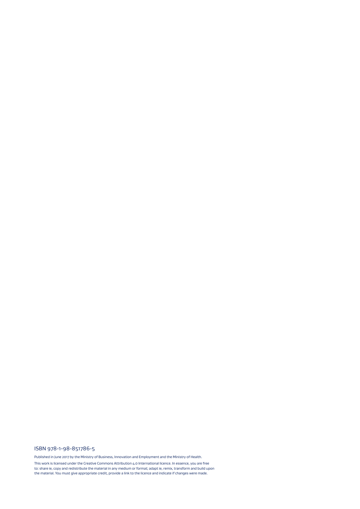#### ISBN 978-1-98-851786-5

Published in June 2017 by the Ministry of Business, Innovation and Employment and the Ministry of Health.

This work is licensed under the Creative Commons Attribution 4.0 International licence. In essence, you are free<br>to: share ie, copy and redistribute the material in any medium or format; adapt ie, remix, transform and buil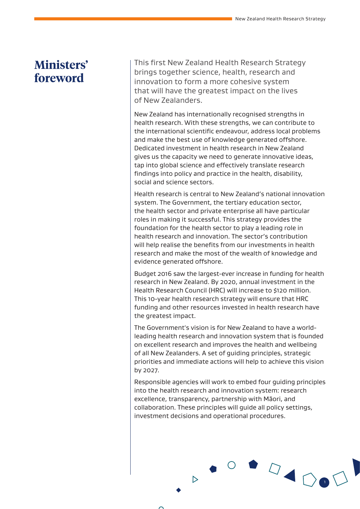### **Ministers' foreword**

This first New Zealand Health Research Strategy brings together science, health, research and innovation to form a more cohesive system that will have the greatest impact on the lives of New Zealanders.

New Zealand has internationally recognised strengths in health research. With these strengths, we can contribute to the international scientific endeavour, address local problems and make the best use of knowledge generated offshore. Dedicated investment in health research in New Zealand gives us the capacity we need to generate innovative ideas, tap into global science and effectively translate research findings into policy and practice in the health, disability, social and science sectors.

Health research is central to New Zealand's national innovation system. The Government, the tertiary education sector, the health sector and private enterprise all have particular roles in making it successful. This strategy provides the foundation for the health sector to play a leading role in health research and innovation. The sector's contribution will help realise the benefits from our investments in health research and make the most of the wealth of knowledge and evidence generated offshore.

Budget 2016 saw the largest-ever increase in funding for health research in New Zealand. By 2020, annual investment in the Health Research Council (HRC) will increase to \$120 million. This 10-year health research strategy will ensure that HRC funding and other resources invested in health research have the greatest impact.

The Government's vision is for New Zealand to have a worldleading health research and innovation system that is founded on excellent research and improves the health and wellbeing of all New Zealanders. A set of guiding principles, strategic priorities and immediate actions will help to achieve this vision by 2027.

Responsible agencies will work to embed four guiding principles into the health research and innovation system: research excellence, transparency, partnership with Māori, and collaboration. These principles will guide all policy settings, investment decisions and operational procedures.

 $\triangleright$ 

1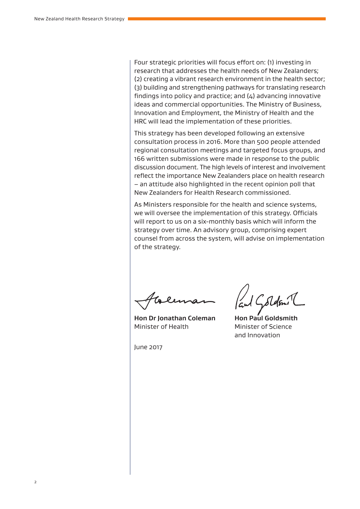Four strategic priorities will focus effort on: (1) investing in research that addresses the health needs of New Zealanders; (2) creating a vibrant research environment in the health sector; (3) building and strengthening pathways for translating research findings into policy and practice; and (4) advancing innovative ideas and commercial opportunities. The Ministry of Business, Innovation and Employment, the Ministry of Health and the HRC will lead the implementation of these priorities.

This strategy has been developed following an extensive consultation process in 2016. More than 500 people attended regional consultation meetings and targeted focus groups, and 166 written submissions were made in response to the public discussion document. The high levels of interest and involvement reflect the importance New Zealanders place on health research – an attitude also highlighted in the recent opinion poll that New Zealanders for Health Research commissioned.

As Ministers responsible for the health and science systems, we will oversee the implementation of this strategy. Officials will report to us on a six-monthly basis which will inform the strategy over time. An advisory group, comprising expert counsel from across the system, will advise on implementation of the strategy.

**Hon Dr Jonathan Coleman Hon Paul Goldsmith** Minister of Health Minister of Science

and Innovation

June 2017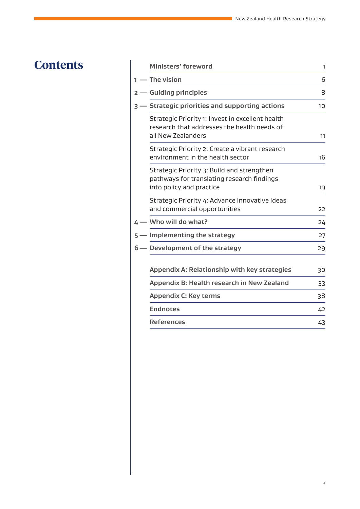### **Contents Ministers' for Ministers' form**

| $1 -$ The vision<br>2 - Guiding principles | 6<br>8                                                                                                                                                                                                                                                                                                                                                                                                                                                                                                                                                                                                                                                                                                                                          |
|--------------------------------------------|-------------------------------------------------------------------------------------------------------------------------------------------------------------------------------------------------------------------------------------------------------------------------------------------------------------------------------------------------------------------------------------------------------------------------------------------------------------------------------------------------------------------------------------------------------------------------------------------------------------------------------------------------------------------------------------------------------------------------------------------------|
|                                            |                                                                                                                                                                                                                                                                                                                                                                                                                                                                                                                                                                                                                                                                                                                                                 |
|                                            |                                                                                                                                                                                                                                                                                                                                                                                                                                                                                                                                                                                                                                                                                                                                                 |
|                                            | 10                                                                                                                                                                                                                                                                                                                                                                                                                                                                                                                                                                                                                                                                                                                                              |
|                                            | 11                                                                                                                                                                                                                                                                                                                                                                                                                                                                                                                                                                                                                                                                                                                                              |
|                                            | 16                                                                                                                                                                                                                                                                                                                                                                                                                                                                                                                                                                                                                                                                                                                                              |
|                                            | 19                                                                                                                                                                                                                                                                                                                                                                                                                                                                                                                                                                                                                                                                                                                                              |
|                                            | 22                                                                                                                                                                                                                                                                                                                                                                                                                                                                                                                                                                                                                                                                                                                                              |
|                                            | 24                                                                                                                                                                                                                                                                                                                                                                                                                                                                                                                                                                                                                                                                                                                                              |
|                                            | 27                                                                                                                                                                                                                                                                                                                                                                                                                                                                                                                                                                                                                                                                                                                                              |
|                                            | 29                                                                                                                                                                                                                                                                                                                                                                                                                                                                                                                                                                                                                                                                                                                                              |
|                                            | 30                                                                                                                                                                                                                                                                                                                                                                                                                                                                                                                                                                                                                                                                                                                                              |
|                                            | 33                                                                                                                                                                                                                                                                                                                                                                                                                                                                                                                                                                                                                                                                                                                                              |
|                                            | 38                                                                                                                                                                                                                                                                                                                                                                                                                                                                                                                                                                                                                                                                                                                                              |
|                                            | 42                                                                                                                                                                                                                                                                                                                                                                                                                                                                                                                                                                                                                                                                                                                                              |
|                                            | 43                                                                                                                                                                                                                                                                                                                                                                                                                                                                                                                                                                                                                                                                                                                                              |
|                                            | <b>Strategic priorities and supporting actions</b><br>Strategic Priority 1: Invest in excellent health<br>research that addresses the health needs of<br>all New Zealanders<br>Strategic Priority 2: Create a vibrant research<br>environment in the health sector<br>Strategic Priority 3: Build and strengthen<br>pathways for translating research findings<br>into policy and practice<br>Strategic Priority 4: Advance innovative ideas<br>and commercial opportunities<br>4 - Who will do what?<br>5 - Implementing the strategy<br>6 - Development of the strategy<br>Appendix A: Relationship with key strategies<br>Appendix B: Health research in New Zealand<br><b>Appendix C: Key terms</b><br><b>Endnotes</b><br><b>References</b> |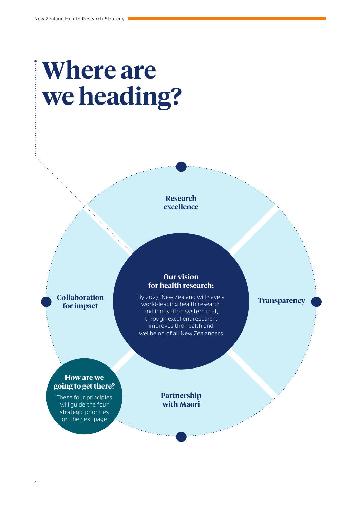# **Where are we heading?**

**Research excellence**

**Collaboration for impact**

#### **Our vision for health research:**

By 2027, New Zealand will have a world-leading health research and innovation system that, through excellent research, improves the health and wellbeing of all New Zealanders

**Transparency**

#### **How are we going to get there?**

These four principles will guide the four strategic priorities on the next page

**Partnership with Māori**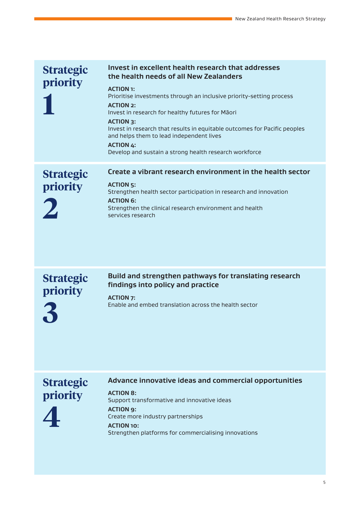| <b>Strategic</b><br>priority | Invest in excellent health research that addresses<br>the health needs of all New Zealanders<br><b>ACTION 1:</b><br>Prioritise investments through an inclusive priority-setting process<br><b>ACTION 2:</b><br>Invest in research for healthy futures for Maori<br><b>ACTION 3:</b><br>Invest in research that results in equitable outcomes for Pacific peoples<br>and helps them to lead independent lives<br><b>ACTION 4:</b><br>Develop and sustain a strong health research workforce |
|------------------------------|---------------------------------------------------------------------------------------------------------------------------------------------------------------------------------------------------------------------------------------------------------------------------------------------------------------------------------------------------------------------------------------------------------------------------------------------------------------------------------------------|
| <b>Strategic</b><br>priority | Create a vibrant research environment in the health sector<br><b>ACTION 5:</b><br>Strengthen health sector participation in research and innovation<br><b>ACTION 6:</b><br>Strengthen the clinical research environment and health<br>services research                                                                                                                                                                                                                                     |

**Build and strengthen pathways for translating research findings into policy and practice**

**Strategic priority 3**

**ACTION 7:** Enable and embed translation across the health sector

### **Strategic priority**

#### **Advance innovative ideas and commercial opportunities**

**4**

#### **ACTION 8:**  Support transformative and innovative ideas **ACTION 9:** Create more industry partnerships **ACTION 10:** Strengthen platforms for commercialising innovations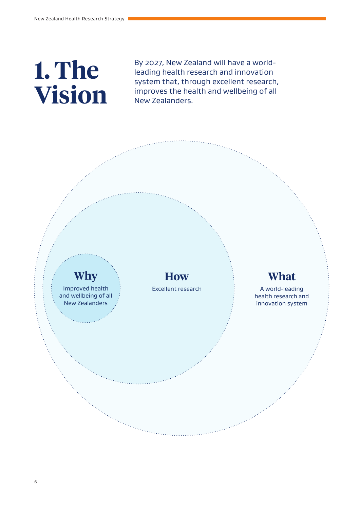# **1. The Vision**

By 2027, New Zealand will have a worldleading health research and innovation system that, through excellent research, improves the health and wellbeing of all New Zealanders.

## **Why**

Improved health and wellbeing of all New Zealanders

**How** Excellent research

### **What**

A world-leading health research and innovation system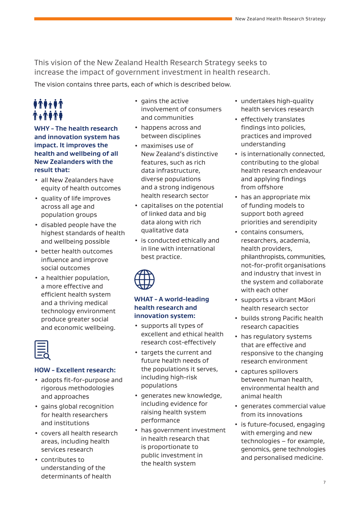This vision of the New Zealand Health Research Strategy seeks to increase the impact of government investment in health research.

The vision contains three parts, each of which is described below.

### *<u><i>\*\*\*\*\**</u> **TATITE**

#### **WHY - The health research and innovation system has impact. It improves the health and wellbeing of all New Zealanders with the result that:**

- all New Zealanders have equity of health outcomes
- quality of life improves across all age and population groups
- disabled people have the highest standards of health and wellbeing possible
- better health outcomes influence and improve social outcomes
- a healthier population, a more effective and efficient health system and a thriving medical technology environment produce greater social and economic wellbeing.

#### **HOW - Excellent research:**

- adopts fit-for-purpose and rigorous methodologies and approaches
- gains global recognition for health researchers and institutions
- covers all health research areas, including health services research
- contributes to understanding of the determinants of health
- gains the active involvement of consumers and communities
- happens across and between disciplines
- maximises use of New Zealand's distinctive features, such as rich data infrastructure, diverse populations and a strong indigenous health research sector
- capitalises on the potential of linked data and big data along with rich qualitative data
- is conducted ethically and in line with international best practice.



#### **WHAT - A world-leading health research and innovation system:**

- supports all types of excellent and ethical health research cost-effectively
- targets the current and future health needs of the populations it serves, including high-risk populations
- generates new knowledge, including evidence for raising health system performance
- has government investment in health research that is proportionate to public investment in the health system
- undertakes high-quality health services research
- effectively translates findings into policies, practices and improved understanding
- is internationally connected, contributing to the global health research endeavour and applying findings from offshore
- has an appropriate mix of funding models to support both agreed priorities and serendipity
- contains consumers, researchers, academia, health providers, philanthropists, communities, not-for-profit organisations and industry that invest in the system and collaborate with each other
- supports a vibrant Māori health research sector
- builds strong Pacific health research capacities
- has regulatory systems that are effective and responsive to the changing research environment
- captures spillovers between human health, environmental health and animal health
- generates commercial value from its innovations
- is future-focused, engaging with emerging and new technologies – for example, genomics, gene technologies and personalised medicine.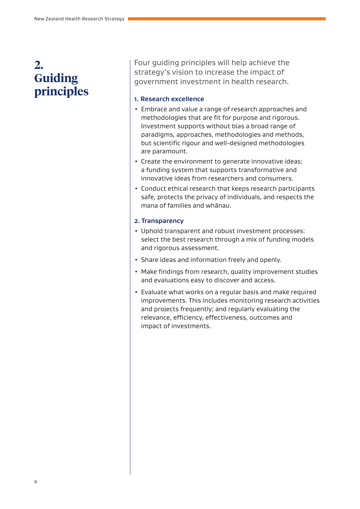### **2. Guiding principles**

Four guiding principles will help achieve the strategy's vision to increase the impact of government investment in health research.

#### **1. Research excellence**

- Embrace and value a range of research approaches and methodologies that are fit for purpose and rigorous. Investment supports without bias a broad range of paradigms, approaches, methodologies and methods, but scientific rigour and well-designed methodologies are paramount.
- Create the environment to generate innovative ideas: a funding system that supports transformative and innovative ideas from researchers and consumers.
- Conduct ethical research that keeps research participants safe, protects the privacy of individuals, and respects the mana of families and whānau.

#### **2. Transparency**

- Uphold transparent and robust investment processes: select the best research through a mix of funding models and rigorous assessment.
- Share ideas and information freely and openly.
- Make findings from research, quality improvement studies and evaluations easy to discover and access.
- Evaluate what works on a regular basis and make required improvements. This includes monitoring research activities and projects frequently; and regularly evaluating the relevance, efficiency, effectiveness, outcomes and impact of investments.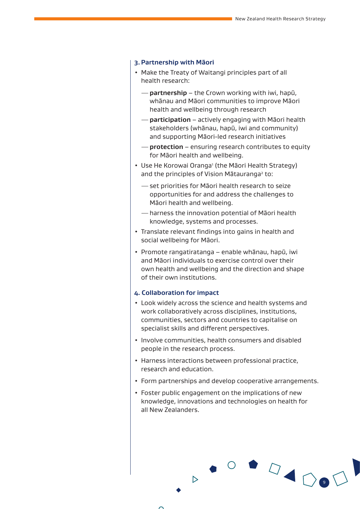#### **3.Partnership with Māori**

- Make the Treaty of Waitangi principles part of all health research:
	- —**partnership** the Crown working with iwi, hapū, whānau and Māori communities to improve Māori health and wellbeing through research
	- —**participation** actively engaging with Māori health stakeholders (whānau, hapū, iwi and community) and supporting Māori-led research initiatives
	- —**protection** ensuring research contributes to equity for Māori health and wellbeing.
- Use He Korowai Oranga<sup>1</sup> (the Māori Health Strategy) and the principles of Vision Mātauranga<sup>2</sup> to:
	- —set priorities for Māori health research to seize opportunities for and address the challenges to Māori health and wellbeing.
	- —harness the innovation potential of Māori health knowledge, systems and processes.
- Translate relevant findings into gains in health and social wellbeing for Māori.
- Promote rangatiratanga enable whānau, hapū, iwi and Māori individuals to exercise control over their own health and wellbeing and the direction and shape of their own institutions.

#### **4. Collaboration for impact**

- Look widely across the science and health systems and work collaboratively across disciplines, institutions, communities, sectors and countries to capitalise on specialist skills and different perspectives.
- Involve communities, health consumers and disabled people in the research process.
- Harness interactions between professional practice, research and education.
- Form partnerships and develop cooperative arrangements.

9

• Foster public engagement on the implications of new knowledge, innovations and technologies on health for all New Zealanders.

 $\triangleright$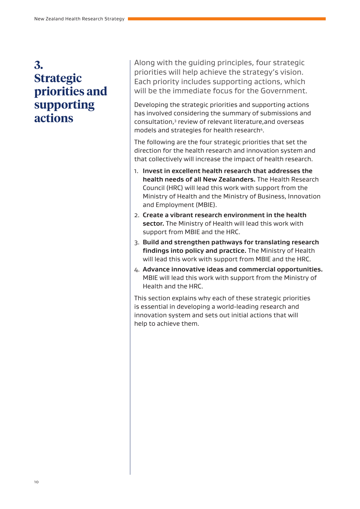### **3. Strategic priorities and supporting actions**

Along with the guiding principles, four strategic priorities will help achieve the strategy's vision. Each priority includes supporting actions, which will be the immediate focus for the Government.

Developing the strategic priorities and supporting actions has involved considering the summary of submissions and consultation,<sup>3</sup> review of relevant literature, and overseas models and strategies for health research<sup>4</sup>.

The following are the four strategic priorities that set the direction for the health research and innovation system and that collectively will increase the impact of health research.

- 1. **Invest in excellent health research that addresses the health needs of all New Zealanders.** The Health Research Council (HRC) will lead this work with support from the Ministry of Health and the Ministry of Business, Innovation and Employment (MBIE).
- 2. **Create a vibrant research environment in the health sector.** The Ministry of Health will lead this work with support from MBIE and the HRC.
- 3. **Build and strengthen pathways for translating research findings into policy and practice.** The Ministry of Health will lead this work with support from MBIE and the HRC.
- 4. **Advance innovative ideas and commercial opportunities.**  MBIE will lead this work with support from the Ministry of Health and the HRC.

This section explains why each of these strategic priorities is essential in developing a world-leading research and innovation system and sets out initial actions that will help to achieve them.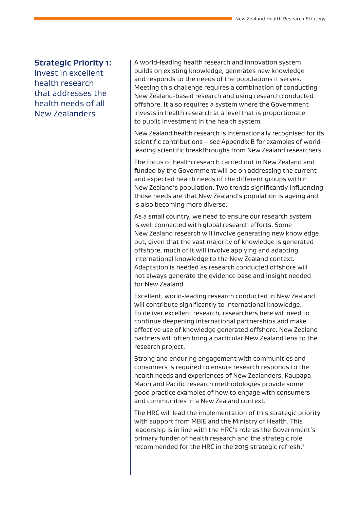#### **Strategic Priority 1:**

Invest in excellent health research that addresses the health needs of all New Zealanders

A world-leading health research and innovation system builds on existing knowledge, generates new knowledge and responds to the needs of the populations it serves. Meeting this challenge requires a combination of conducting New Zealand-based research and using research conducted offshore. It also requires a system where the Government invests in health research at a level that is proportionate to public investment in the health system.

New Zealand health research is internationally recognised for its scientific contributions – see Appendix B for examples of worldleading scientific breakthroughs from New Zealand researchers.

The focus of health research carried out in New Zealand and funded by the Government will be on addressing the current and expected health needs of the different groups within New Zealand's population. Two trends significantly influencing those needs are that New Zealand's population is ageing and is also becoming more diverse.

As a small country, we need to ensure our research system is well connected with global research efforts. Some New Zealand research will involve generating new knowledge but, given that the vast majority of knowledge is generated offshore, much of it will involve applying and adapting international knowledge to the New Zealand context. Adaptation is needed as research conducted offshore will not always generate the evidence base and insight needed for New Zealand.

Excellent, world-leading research conducted in New Zealand will contribute significantly to international knowledge. To deliver excellent research, researchers here will need to continue deepening international partnerships and make effective use of knowledge generated offshore. New Zealand partners will often bring a particular New Zealand lens to the research project.

Strong and enduring engagement with communities and consumers is required to ensure research responds to the health needs and experiences of New Zealanders. Kaupapa Māori and Pacific research methodologies provide some good practice examples of how to engage with consumers and communities in a New Zealand context.

The HRC will lead the implementation of this strategic priority with support from MBIE and the Ministry of Health. This leadership is in line with the HRC's role as the Government's primary funder of health research and the strategic role recommended for the HRC in the 2015 strategic refresh.<sup>5</sup>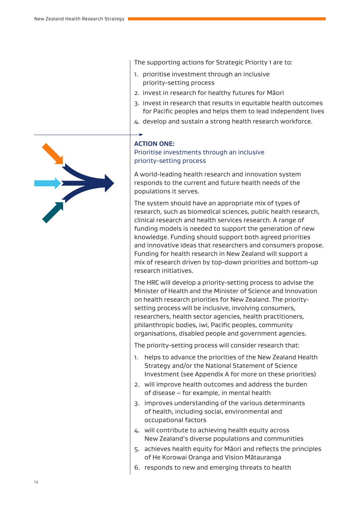The supporting actions for Strategic Priority 1 are to:

- 1. prioritise investment through an inclusive priority-setting process
- 2. invest in research for healthy futures for Māori
- 3. invest in research that results in equitable health outcomes for Pacific peoples and helps them to lead independent lives
- 4. develop and sustain a strong health research workforce.

#### **ACTION ONE:**

#### Prioritise investments through an inclusive priority-setting process

A world-leading health research and innovation system responds to the current and future health needs of the populations it serves.

The system should have an appropriate mix of types of research, such as biomedical sciences, public health research, clinical research and health services research. A range of funding models is needed to support the generation of new knowledge. Funding should support both agreed priorities and innovative ideas that researchers and consumers propose. Funding for health research in New Zealand will support a mix of research driven by top-down priorities and bottom-up research initiatives.

The HRC will develop a priority-setting process to advise the Minister of Health and the Minister of Science and Innovation on health research priorities for New Zealand. The prioritysetting process will be inclusive, involving consumers, researchers, health sector agencies, health practitioners, philanthropic bodies, iwi, Pacific peoples, community organisations, disabled people and government agencies.

The priority-setting process will consider research that:

- 1. helps to advance the priorities of the New Zealand Health Strategy and/or the National Statement of Science Investment (see Appendix A for more on these priorities)
- 2. will improve health outcomes and address the burden of disease – for example, in mental health
- 3. improves understanding of the various determinants of health, including social, environmental and occupational factors
- 4. will contribute to achieving health equity across New Zealand's diverse populations and communities
- 5. achieves health equity for Māori and reflects the principles of He Korowai Oranga and Vision Mātauranga
- 6. responds to new and emerging threats to health

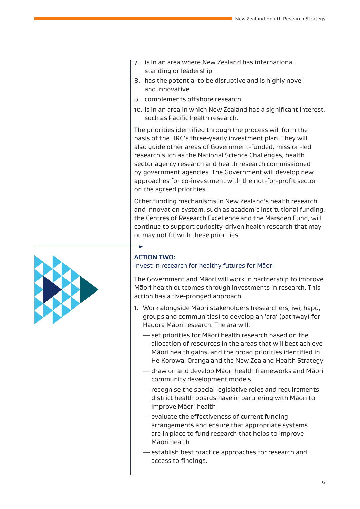- 7. is in an area where New Zealand has international standing or leadership
- 8. has the potential to be disruptive and is highly novel and innovative
- 9. complements offshore research
- 10. is in an area in which New Zealand has a significant interest, such as Pacific health research.

The priorities identified through the process will form the basis of the HRC's three-yearly investment plan. They will also guide other areas of Government-funded, mission-led research such as the National Science Challenges, health sector agency research and health research commissioned by government agencies. The Government will develop new approaches for co-investment with the not-for-profit sector on the agreed priorities.

Other funding mechanisms in New Zealand's health research and innovation system, such as academic institutional funding, the Centres of Research Excellence and the Marsden Fund, will continue to support curiosity-driven health research that may or may not fit with these priorities.



#### **ACTION TWO:**

#### Invest in research for healthy futures for Māori

The Government and Māori will work in partnership to improve Māori health outcomes through investments in research. This action has a five-pronged approach.

- 1. Work alongside Māori stakeholders (researchers, iwi, hapū, groups and communities) to develop an 'ara' (pathway) for Hauora Māori research. The ara will:
	- —set priorities for Māori health research based on the allocation of resources in the areas that will best achieve Māori health gains, and the broad priorities identified in He Korowai Oranga and the New Zealand Health Strategy
	- —draw on and develop Māori health frameworks and Māori community development models
	- —recognise the special legislative roles and requirements district health boards have in partnering with Māori to improve Māori health
	- —evaluate the effectiveness of current funding arrangements and ensure that appropriate systems are in place to fund research that helps to improve Māori health
	- —establish best practice approaches for research and access to findings.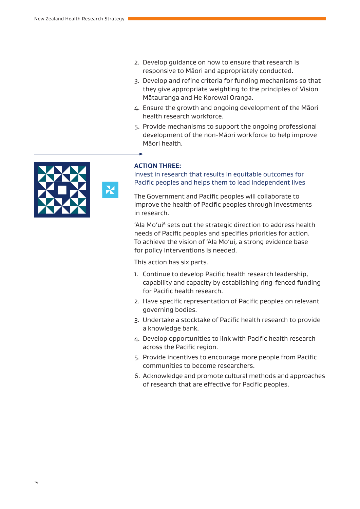- 2. Develop guidance on how to ensure that research is responsive to Māori and appropriately conducted.
- 3. Develop and refine criteria for funding mechanisms so that they give appropriate weighting to the principles of Vision Mātauranga and He Korowai Oranga.
- 4. Ensure the growth and ongoing development of the Māori health research workforce.
- 5. Provide mechanisms to support the ongoing professional development of the non-Māori workforce to help improve Māori health.



X

#### **ACTION THREE:**

Invest in research that results in equitable outcomes for Pacific peoples and helps them to lead independent lives

The Government and Pacific peoples will collaborate to improve the health of Pacific peoples through investments in research.

'Ala Mo'ui<sup>6</sup> sets out the strategic direction to address health needs of Pacific peoples and specifies priorities for action. To achieve the vision of 'Ala Mo'ui, a strong evidence base for policy interventions is needed.

This action has six parts.

- 1. Continue to develop Pacific health research leadership, capability and capacity by establishing ring-fenced funding for Pacific health research.
- 2. Have specific representation of Pacific peoples on relevant governing bodies.
- 3. Undertake a stocktake of Pacific health research to provide a knowledge bank.
- 4. Develop opportunities to link with Pacific health research across the Pacific region.
- 5. Provide incentives to encourage more people from Pacific communities to become researchers.
- 6. Acknowledge and promote cultural methods and approaches of research that are effective for Pacific peoples.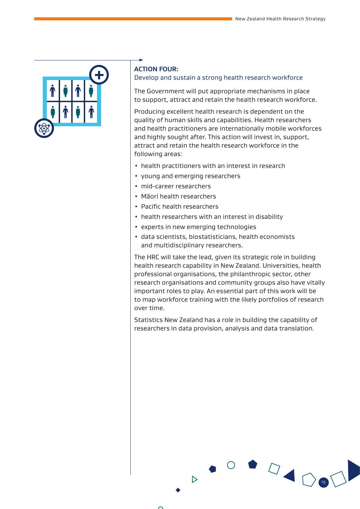

#### **ACTION FOUR:**

#### Develop and sustain a strong health research workforce

The Government will put appropriate mechanisms in place to support, attract and retain the health research workforce.

Producing excellent health research is dependent on the quality of human skills and capabilities. Health researchers and health practitioners are internationally mobile workforces and highly sought after. This action will invest in, support, attract and retain the health research workforce in the following areas:

- health practitioners with an interest in research
- young and emerging researchers
- mid-career researchers
- Māori health researchers
- Pacific health researchers
- health researchers with an interest in disability
- experts in new emerging technologies

 $\triangleright$ 

• data scientists, biostatisticians, health economists and multidisciplinary researchers.

The HRC will take the lead, given its strategic role in building health research capability in New Zealand. Universities, health professional organisations, the philanthropic sector, other research organisations and community groups also have vitally important roles to play. An essential part of this work will be to map workforce training with the likely portfolios of research over time.

Statistics New Zealand has a role in building the capability of researchers in data provision, analysis and data translation.

15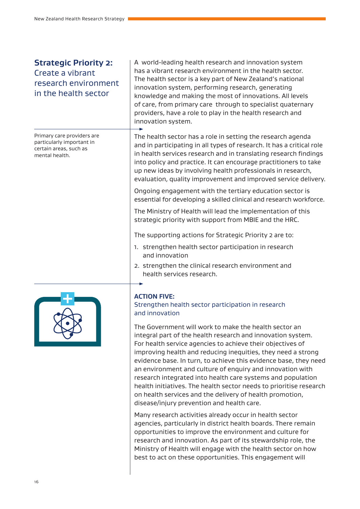#### **Strategic Priority 2:**  Create a vibrant research environment in the health sector

Primary care providers are particularly important in certain areas, such as mental health.



A world-leading health research and innovation system has a vibrant research environment in the health sector. The health sector is a key part of New Zealand's national innovation system, performing research, generating knowledge and making the most of innovations. All levels of care, from primary care through to specialist quaternary providers, have a role to play in the health research and innovation system.

The health sector has a role in setting the research agenda and in participating in all types of research. It has a critical role in health services research and in translating research findings into policy and practice. It can encourage practitioners to take up new ideas by involving health professionals in research, evaluation, quality improvement and improved service delivery.

Ongoing engagement with the tertiary education sector is essential for developing a skilled clinical and research workforce.

The Ministry of Health will lead the implementation of this strategic priority with support from MBIE and the HRC.

The supporting actions for Strategic Priority 2 are to:

- 1. strengthen health sector participation in research and innovation
- 2. strengthen the clinical research environment and health services research.

#### **ACTION FIVE:**

#### Strengthen health sector participation in research and innovation

The Government will work to make the health sector an integral part of the health research and innovation system. For health service agencies to achieve their objectives of improving health and reducing inequities, they need a strong evidence base. In turn, to achieve this evidence base, they need an environment and culture of enquiry and innovation with research integrated into health care systems and population health initiatives. The health sector needs to prioritise research on health services and the delivery of health promotion, disease/injury prevention and health care.

Many research activities already occur in health sector agencies, particularly in district health boards. There remain opportunities to improve the environment and culture for research and innovation. As part of its stewardship role, the Ministry of Health will engage with the health sector on how best to act on these opportunities. This engagement will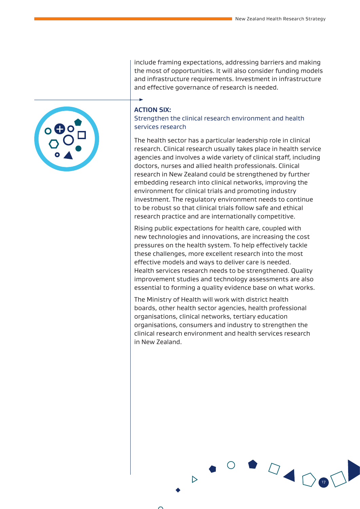include framing expectations, addressing barriers and making the most of opportunities. It will also consider funding models and infrastructure requirements. Investment in infrastructure and effective governance of research is needed.

#### **ACTION SIX:**

Strengthen the clinical research environment and health services research

The health sector has a particular leadership role in clinical research. Clinical research usually takes place in health service agencies and involves a wide variety of clinical staff, including doctors, nurses and allied health professionals. Clinical research in New Zealand could be strengthened by further embedding research into clinical networks, improving the environment for clinical trials and promoting industry investment. The regulatory environment needs to continue to be robust so that clinical trials follow safe and ethical research practice and are internationally competitive.

Rising public expectations for health care, coupled with new technologies and innovations, are increasing the cost pressures on the health system. To help effectively tackle these challenges, more excellent research into the most effective models and ways to deliver care is needed. Health services research needs to be strengthened. Quality improvement studies and technology assessments are also essential to forming a quality evidence base on what works.

The Ministry of Health will work with district health boards, other health sector agencies, health professional organisations, clinical networks, tertiary education organisations, consumers and industry to strengthen the clinical research environment and health services research in New Zealand.

17



 $\triangleright$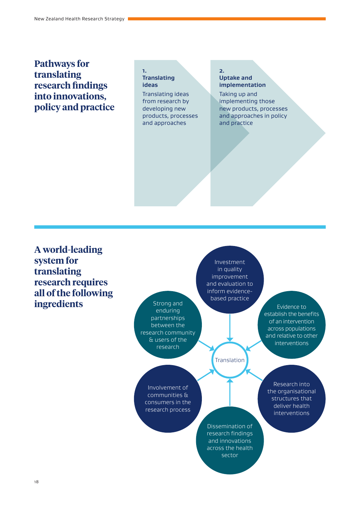### **Pathways for translating research findings into innovations, policy and practice**

#### **1. Translating ideas**

Translating ideas from research by developing new products, processes and approaches

#### **2. Uptake and implementation**

Taking up and implementing those new products, processes and approaches in policy and practice

**A world-leading system for translating research requires all of the following ingredients**

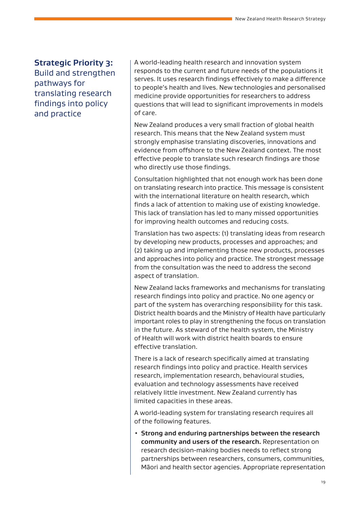#### **Strategic Priority 3:**

Build and strengthen pathways for translating research findings into policy and practice

A world-leading health research and innovation system responds to the current and future needs of the populations it serves. It uses research findings effectively to make a difference to people's health and lives. New technologies and personalised medicine provide opportunities for researchers to address questions that will lead to significant improvements in models of care.

New Zealand produces a very small fraction of global health research. This means that the New Zealand system must strongly emphasise translating discoveries, innovations and evidence from offshore to the New Zealand context. The most effective people to translate such research findings are those who directly use those findings.

Consultation highlighted that not enough work has been done on translating research into practice. This message is consistent with the international literature on health research, which finds a lack of attention to making use of existing knowledge. This lack of translation has led to many missed opportunities for improving health outcomes and reducing costs.

Translation has two aspects: (1) translating ideas from research by developing new products, processes and approaches; and (2) taking up and implementing those new products, processes and approaches into policy and practice. The strongest message from the consultation was the need to address the second aspect of translation.

New Zealand lacks frameworks and mechanisms for translating research findings into policy and practice. No one agency or part of the system has overarching responsibility for this task. District health boards and the Ministry of Health have particularly important roles to play in strengthening the focus on translation in the future. As steward of the health system, the Ministry of Health will work with district health boards to ensure effective translation.

There is a lack of research specifically aimed at translating research findings into policy and practice. Health services research, implementation research, behavioural studies, evaluation and technology assessments have received relatively little investment. New Zealand currently has limited capacities in these areas.

A world-leading system for translating research requires all of the following features.

• **Strong and enduring partnerships between the research community and users of the research.** Representation on research decision-making bodies needs to reflect strong partnerships between researchers, consumers, communities, Māori and health sector agencies. Appropriate representation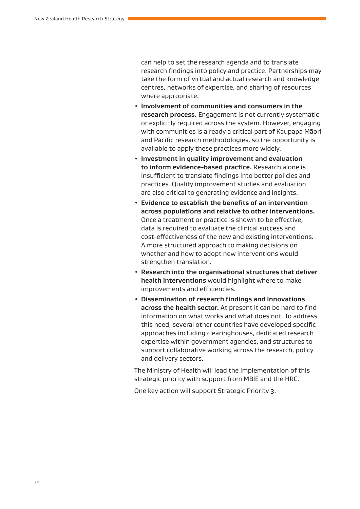can help to set the research agenda and to translate research findings into policy and practice. Partnerships may take the form of virtual and actual research and knowledge centres, networks of expertise, and sharing of resources where appropriate.

- **Involvement of communities and consumers in the research process.** Engagement is not currently systematic or explicitly required across the system. However, engaging with communities is already a critical part of Kaupapa Māori and Pacific research methodologies, so the opportunity is available to apply these practices more widely.
- **Investment in quality improvement and evaluation to inform evidence-based practice.** Research alone is insufficient to translate findings into better policies and practices. Quality improvement studies and evaluation are also critical to generating evidence and insights.
- **Evidence to establish the benefits of an intervention across populations and relative to other interventions.** Once a treatment or practice is shown to be effective, data is required to evaluate the clinical success and cost-effectiveness of the new and existing interventions. A more structured approach to making decisions on whether and how to adopt new interventions would strengthen translation.
- **Research into the organisational structures that deliver health interventions** would highlight where to make improvements and efficiencies.
- **Dissemination of research findings and innovations across the health sector.** At present it can be hard to find information on what works and what does not. To address this need, several other countries have developed specific approaches including clearinghouses, dedicated research expertise within government agencies, and structures to support collaborative working across the research, policy and delivery sectors.

The Ministry of Health will lead the implementation of this strategic priority with support from MBIE and the HRC.

One key action will support Strategic Priority 3.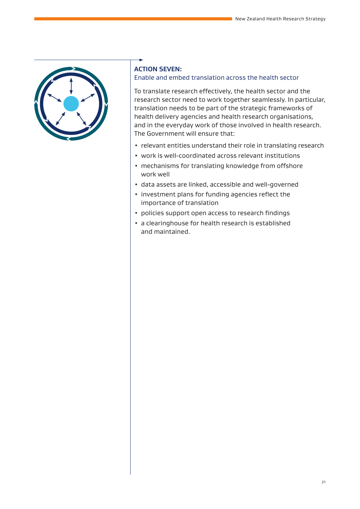

#### **ACTION SEVEN:**

#### Enable and embed translation across the health sector

To translate research effectively, the health sector and the research sector need to work together seamlessly. In particular, translation needs to be part of the strategic frameworks of health delivery agencies and health research organisations, and in the everyday work of those involved in health research. The Government will ensure that:

- relevant entities understand their role in translating research
- work is well-coordinated across relevant institutions
- mechanisms for translating knowledge from offshore work well
- data assets are linked, accessible and well-governed
- investment plans for funding agencies reflect the importance of translation
- policies support open access to research findings
- a clearinghouse for health research is established and maintained.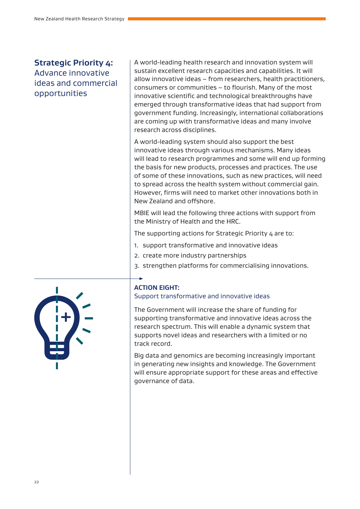#### **Strategic Priority 4:**

#### Advance innovative ideas and commercial opportunities

A world-leading health research and innovation system will sustain excellent research capacities and capabilities. It will allow innovative ideas – from researchers, health practitioners, consumers or communities – to flourish. Many of the most innovative scientific and technological breakthroughs have emerged through transformative ideas that had support from government funding. Increasingly, international collaborations are coming up with transformative ideas and many involve research across disciplines.

A world-leading system should also support the best innovative ideas through various mechanisms. Many ideas will lead to research programmes and some will end up forming the basis for new products, processes and practices. The use of some of these innovations, such as new practices, will need to spread across the health system without commercial gain. However, firms will need to market other innovations both in New Zealand and offshore.

MBIE will lead the following three actions with support from the Ministry of Health and the HRC.

The supporting actions for Strategic Priority 4 are to:

- 1. support transformative and innovative ideas
- 2. create more industry partnerships
- 3. strengthen platforms for commercialising innovations.



#### **ACTION EIGHT:**

#### Support transformative and innovative ideas

The Government will increase the share of funding for supporting transformative and innovative ideas across the research spectrum. This will enable a dynamic system that supports novel ideas and researchers with a limited or no track record.

Big data and genomics are becoming increasingly important in generating new insights and knowledge. The Government will ensure appropriate support for these areas and effective governance of data.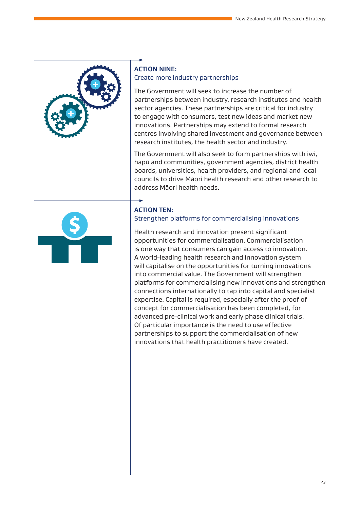

#### **ACTION NINE:**  Create more industry partnerships

The Government will seek to increase the number of partnerships between industry, research institutes and health sector agencies. These partnerships are critical for industry to engage with consumers, test new ideas and market new innovations. Partnerships may extend to formal research centres involving shared investment and governance between research institutes, the health sector and industry.

The Government will also seek to form partnerships with iwi, hapū and communities, government agencies, district health boards, universities, health providers, and regional and local councils to drive Māori health research and other research to address Māori health needs.



#### **ACTION TEN:**

Strengthen platforms for commercialising innovations

Health research and innovation present significant opportunities for commercialisation. Commercialisation is one way that consumers can gain access to innovation. A world-leading health research and innovation system will capitalise on the opportunities for turning innovations into commercial value. The Government will strengthen platforms for commercialising new innovations and strengthen connections internationally to tap into capital and specialist expertise. Capital is required, especially after the proof of concept for commercialisation has been completed, for advanced pre-clinical work and early phase clinical trials. Of particular importance is the need to use effective partnerships to support the commercialisation of new innovations that health practitioners have created.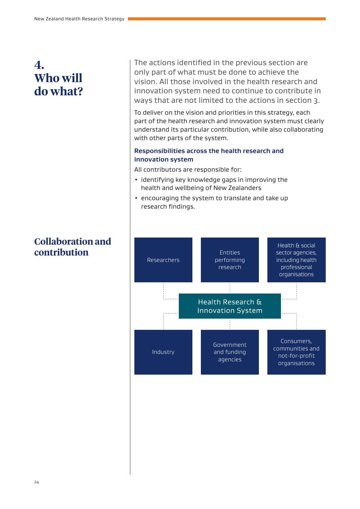### **4. Who will do what?**

### **Collaboration and contribution**

The actions identified in the previous section are only part of what must be done to achieve the vision. All those involved in the health research and innovation system need to continue to contribute in ways that are not limited to the actions in section 3.

To deliver on the vision and priorities in this strategy, each part of the health research and innovation system must clearly understand its particular contribution, while also collaborating with other parts of the system.

#### **Responsibilities across the health research and innovation system**

All contributors are responsible for:

- identifying key knowledge gaps in improving the health and wellbeing of New Zealanders
- encouraging the system to translate and take up research findings.

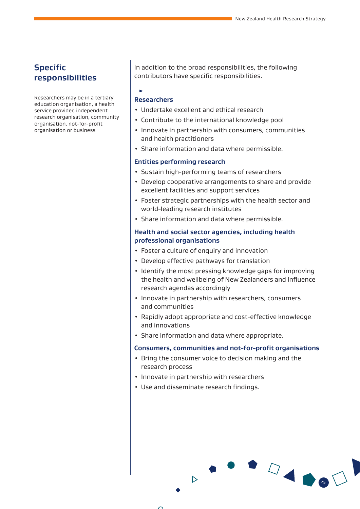#### **Specific responsibilities**

Researchers may be in a tertiary education organisation, a health service provider, independent research organisation, community organisation, not-for-profit organisation or business

In addition to the broad responsibilities, the following contributors have specific responsibilities.

#### **Researchers**

- Undertake excellent and ethical research
- Contribute to the international knowledge pool
- Innovate in partnership with consumers, communities and health practitioners
- Share information and data where permissible.

#### **Entities performing research**

- Sustain high-performing teams of researchers
- Develop cooperative arrangements to share and provide excellent facilities and support services
- Foster strategic partnerships with the health sector and world-leading research institutes
- Share information and data where permissible.

#### **Health and social sector agencies, including health professional organisations**

- Foster a culture of enquiry and innovation
- Develop effective pathways for translation
- Identify the most pressing knowledge gaps for improving the health and wellbeing of New Zealanders and influence research agendas accordingly
- Innovate in partnership with researchers, consumers and communities
- Rapidly adopt appropriate and cost-effective knowledge and innovations
- Share information and data where appropriate.

#### **Consumers, communities and not-for-profit organisations**

 $1$ 

- Bring the consumer voice to decision making and the research process
- Innovate in partnership with researchers
- Use and disseminate research findings.

D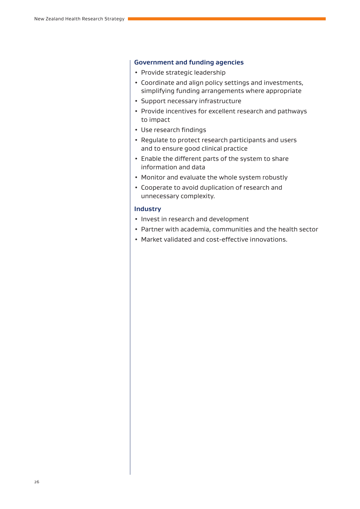#### **Government and funding agencies**

- Provide strategic leadership
- Coordinate and align policy settings and investments, simplifying funding arrangements where appropriate
- Support necessary infrastructure
- Provide incentives for excellent research and pathways to impact
- Use research findings
- Regulate to protect research participants and users and to ensure good clinical practice
- Enable the different parts of the system to share information and data
- Monitor and evaluate the whole system robustly
- Cooperate to avoid duplication of research and unnecessary complexity.

#### **Industry**

- Invest in research and development
- Partner with academia, communities and the health sector
- Market validated and cost-effective innovations.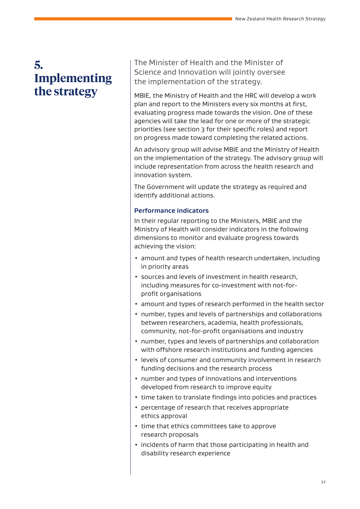### **5. Implementing the strategy**

The Minister of Health and the Minister of Science and Innovation will jointly oversee the implementation of the strategy.

MBIE, the Ministry of Health and the HRC will develop a work plan and report to the Ministers every six months at first, evaluating progress made towards the vision. One of these agencies will take the lead for one or more of the strategic priorities (see section 3 for their specific roles) and report on progress made toward completing the related actions.

An advisory group will advise MBIE and the Ministry of Health on the implementation of the strategy. The advisory group will include representation from across the health research and innovation system.

The Government will update the strategy as required and identify additional actions.

#### **Performance indicators**

In their regular reporting to the Ministers, MBIE and the Ministry of Health will consider indicators in the following dimensions to monitor and evaluate progress towards achieving the vision:

- amount and types of health research undertaken, including in priority areas
- sources and levels of investment in health research, including measures for co-investment with not-forprofit organisations
- amount and types of research performed in the health sector
- number, types and levels of partnerships and collaborations between researchers, academia, health professionals, community, not-for-profit organisations and industry
- number, types and levels of partnerships and collaboration with offshore research institutions and funding agencies
- levels of consumer and community involvement in research funding decisions and the research process
- number and types of innovations and interventions developed from research to improve equity
- time taken to translate findings into policies and practices
- percentage of research that receives appropriate ethics approval
- time that ethics committees take to approve research proposals
- incidents of harm that those participating in health and disability research experience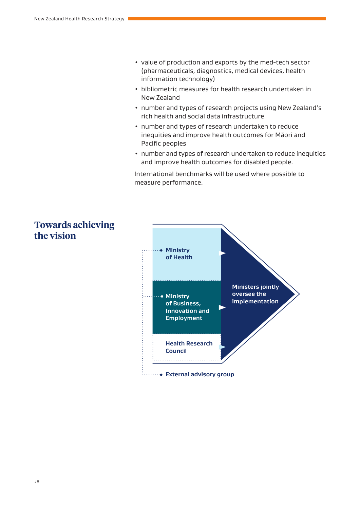- value of production and exports by the med-tech sector (pharmaceuticals, diagnostics, medical devices, health information technology)
- bibliometric measures for health research undertaken in New Zealand
- number and types of research projects using New Zealand's rich health and social data infrastructure
- number and types of research undertaken to reduce inequities and improve health outcomes for Māori and Pacific peoples
- number and types of research undertaken to reduce inequities and improve health outcomes for disabled people.

International benchmarks will be used where possible to measure performance.



### **Towards achieving the vision**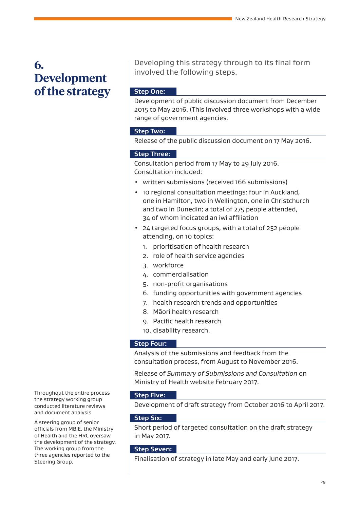### **6. Development of the strategy**

Developing this strategy through to its final form involved the following steps.

#### **Step One:**

Development of public discussion document from December 2015 to May 2016. (This involved three workshops with a wide range of government agencies.

#### **Step Two:**

Release of the public discussion document on 17 May 2016.

#### **Step Three:**

Consultation period from 17 May to 29 July 2016. Consultation included:

- written submissions (received 166 submissions)
- 10 regional consultation meetings: four in Auckland, one in Hamilton, two in Wellington, one in Christchurch and two in Dunedin; a total of 275 people attended, 34 of whom indicated an iwi affiliation
- 24 targeted focus groups, with a total of 252 people attending, on 10 topics:
	- 1. prioritisation of health research
	- 2. role of health service agencies
	- 3. workforce
	- 4. commercialisation
	- 5. non-profit organisations
	- 6. funding opportunities with government agencies
	- 7. health research trends and opportunities
	- 8. Māori health research
	- 9. Pacific health research
	- 10. disability research.

#### **Step Four:**

Analysis of the submissions and feedback from the consultation process, from August to November 2016.

Release of *Summary of Submissions and Consultation* on Ministry of Health website February 2017.

#### **Step Five:**

Development of draft strategy from October 2016 to April 2017.

#### **Step Six:**

Short period of targeted consultation on the draft strategy in May 2017.

#### **Step Seven:**

Finalisation of strategy in late May and early June 2017.

Throughout the entire process the strategy working group conducted literature reviews and document analysis.

A steering group of senior officials from MBIE, the Ministry of Health and the HRC oversaw the development of the strategy. The working group from the three agencies reported to the Steering Group.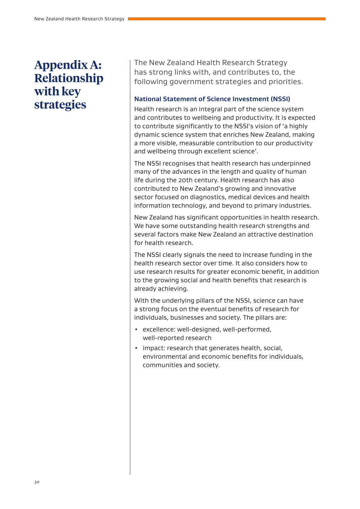### **Appendix A: Relationship with key strategies**

The New Zealand Health Research Strategy has strong links with, and contributes to, the following government strategies and priorities.

#### **National Statement of Science Investment (NSSI)**

Health research is an integral part of the science system and contributes to wellbeing and productivity. It is expected to contribute significantly to the NSSI's vision of 'a highly dynamic science system that enriches New Zealand, making a more visible, measurable contribution to our productivity and wellbeing through excellent science'.

The NSSI recognises that health research has underpinned many of the advances in the length and quality of human life during the 20th century. Health research has also contributed to New Zealand's growing and innovative sector focused on diagnostics, medical devices and health information technology, and beyond to primary industries.

New Zealand has significant opportunities in health research. We have some outstanding health research strengths and several factors make New Zealand an attractive destination for health research.

The NSSI clearly signals the need to increase funding in the health research sector over time. It also considers how to use research results for greater economic benefit, in addition to the growing social and health benefits that research is already achieving.

With the underlying pillars of the NSSI, science can have a strong focus on the eventual benefits of research for individuals, businesses and society. The pillars are:

- excellence: well-designed, well-performed, well-reported research
- impact: research that generates health, social, environmental and economic benefits for individuals, communities and society.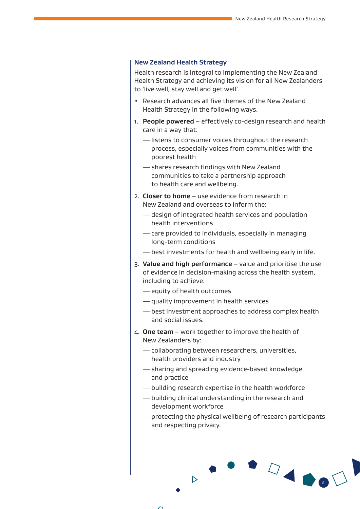#### **New Zealand Health Strategy**

Health research is integral to implementing the New Zealand Health Strategy and achieving its vision for all New Zealanders to 'live well, stay well and get well'.

- Research advances all five themes of the New Zealand Health Strategy in the following ways.
- 1. **People powered** effectively co-design research and health care in a way that:
	- —listens to consumer voices throughout the research process, especially voices from communities with the poorest health
	- —shares research findings with New Zealand communities to take a partnership approach to health care and wellbeing.
- 2. **Closer to home** use evidence from research in New Zealand and overseas to inform the:
	- —design of integrated health services and population health interventions
	- —care provided to individuals, especially in managing long-term conditions
	- —best investments for health and wellbeing early in life.
- 3. **Value and high performance** value and prioritise the use of evidence in decision-making across the health system, including to achieve:
	- —equity of health outcomes

 $\triangleright$ 

- —quality improvement in health services
- —best investment approaches to address complex health and social issues.
- 4. **One team**  work together to improve the health of New Zealanders by:
	- —collaborating between researchers, universities, health providers and industry
	- —sharing and spreading evidence-based knowledge and practice
	- —building research expertise in the health workforce
	- —building clinical understanding in the research and development workforce
	- —protecting the physical wellbeing of research participants and respecting privacy.

31

 $\begin{picture}(100,20)(-0.00,0.00)(-0.00,0.00)(-0.00,0.00)(-0.00,0.00)(-0.00,0.00)(-0.00,0.00)(-0.00,0.00)(-0.00,0.00)(-0.00,0.00)(-0.00,0.00)(-0.00,0.00)(-0.00,0.00)(-0.00,0.00)(-0.00,0.00)(-0.00,0.00)(-0.00,0.00)(-0.00,0.00)(-0.00,0.00)(-0.00,0.00$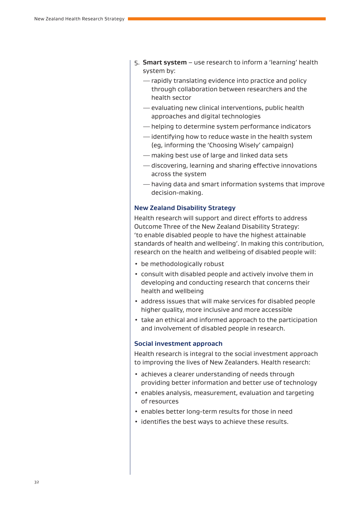- 5. **Smart system** use research to inform a 'learning' health system by:
	- —rapidly translating evidence into practice and policy through collaboration between researchers and the health sector
	- —evaluating new clinical interventions, public health approaches and digital technologies
	- —helping to determine system performance indicators
	- —identifying how to reduce waste in the health system (eg, informing the 'Choosing Wisely' campaign)
	- —making best use of large and linked data sets
	- —discovering, learning and sharing effective innovations across the system
	- —having data and smart information systems that improve decision-making.

#### **New Zealand Disability Strategy**

Health research will support and direct efforts to address Outcome Three of the New Zealand Disability Strategy: 'to enable disabled people to have the highest attainable standards of health and wellbeing'. In making this contribution, research on the health and wellbeing of disabled people will:

- be methodologically robust
- consult with disabled people and actively involve them in developing and conducting research that concerns their health and wellbeing
- address issues that will make services for disabled people higher quality, more inclusive and more accessible
- take an ethical and informed approach to the participation and involvement of disabled people in research.

#### **Social investment approach**

Health research is integral to the social investment approach to improving the lives of New Zealanders. Health research:

- achieves a clearer understanding of needs through providing better information and better use of technology
- enables analysis, measurement, evaluation and targeting of resources
- enables better long-term results for those in need
- identifies the best ways to achieve these results.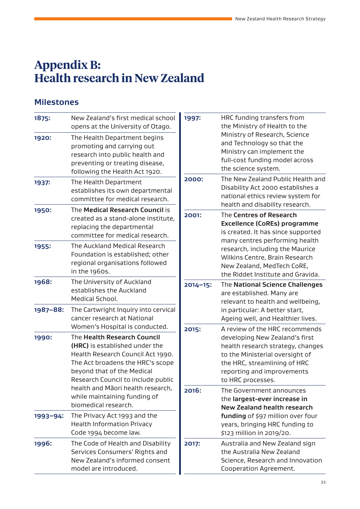### **Appendix B: Health research in New Zealand**

### **Milestones**

| 1875:    | New Zealand's first medical school<br>opens at the University of Otago.                                                                                                                                                                                                                                                                                                                                                                                                                       | 1997: | HRC funding transfers from<br>the Ministry of Health to the                                                                                                                               |  |
|----------|-----------------------------------------------------------------------------------------------------------------------------------------------------------------------------------------------------------------------------------------------------------------------------------------------------------------------------------------------------------------------------------------------------------------------------------------------------------------------------------------------|-------|-------------------------------------------------------------------------------------------------------------------------------------------------------------------------------------------|--|
| 1920:    | The Health Department begins<br>promoting and carrying out<br>research into public health and<br>preventing or treating disease,<br>following the Health Act 1920.                                                                                                                                                                                                                                                                                                                            |       | Ministry of Research, Science<br>and Technology so that the<br>Ministry can implement the<br>full-cost funding model across<br>the science system.                                        |  |
| 1937:    | The Health Department<br>establishes its own departmental<br>committee for medical research.                                                                                                                                                                                                                                                                                                                                                                                                  | 2000: | The New Zealand Public Health and<br>Disability Act 2000 establishes a<br>national ethics review system for<br>health and disability research.                                            |  |
| 1950:    | The Medical Research Council is<br>created as a stand-alone institute,<br>replacing the departmental<br>committee for medical research.                                                                                                                                                                                                                                                                                                                                                       | 2001: | The Centres of Research<br><b>Excellence (CoREs) programme</b><br>is created. It has since supported                                                                                      |  |
| 1955:    | The Auckland Medical Research<br>Foundation is established; other<br>regional organisations followed<br>in the 1960s.                                                                                                                                                                                                                                                                                                                                                                         |       | many centres performing health<br>research, including the Maurice<br>Wilkins Centre, Brain Research<br>New Zealand, MedTech CoRE,<br>the Riddet Institute and Gravida.                    |  |
| 1968:    | The University of Auckland<br>establishes the Auckland<br>Medical School.<br>The Cartwright Inquiry into cervical<br>cancer research at National<br>Women's Hospital is conducted.<br>The Health Research Council<br>(HRC) is established under the<br>Health Research Council Act 1990.<br>The Act broadens the HRC's scope<br>beyond that of the Medical<br>Research Council to include public<br>health and Māori health research,<br>while maintaining funding of<br>biomedical research. |       | The National Science Challenges<br>are established. Many are<br>relevant to health and wellbeing,                                                                                         |  |
| 1987-88: |                                                                                                                                                                                                                                                                                                                                                                                                                                                                                               |       | in particular: A better start,<br>Ageing well, and Healthier lives.<br>A review of the HRC recommends                                                                                     |  |
| 1990:    |                                                                                                                                                                                                                                                                                                                                                                                                                                                                                               |       | developing New Zealand's first<br>health research strategy, changes<br>to the Ministerial oversight of<br>the HRC, streamlining of HRC<br>reporting and improvements<br>to HRC processes. |  |
|          |                                                                                                                                                                                                                                                                                                                                                                                                                                                                                               |       | The Government announces<br>the largest-ever increase in<br><b>New Zealand health research</b>                                                                                            |  |
| 1993-94: | The Privacy Act 1993 and the<br><b>Health Information Privacy</b><br>Code 1994 become law.                                                                                                                                                                                                                                                                                                                                                                                                    |       | funding of \$97 million over four<br>years, bringing HRC funding to<br>\$123 million in 2019/20.                                                                                          |  |
| 1996:    | The Code of Health and Disability<br>Services Consumers' Rights and<br>New Zealand's informed consent<br>model are introduced.                                                                                                                                                                                                                                                                                                                                                                | 2017: | Australia and New Zealand sign<br>the Australia New Zealand<br>Science, Research and Innovation<br>Cooperation Agreement.                                                                 |  |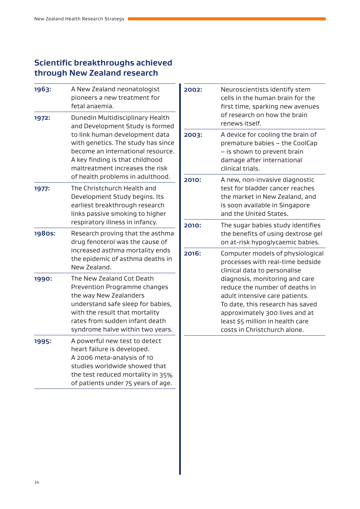#### **Scientific breakthroughs achieved through New Zealand research**

| 1963:  | A New Zealand neonatologist<br>pioneers a new treatment for<br>fetal anaemia.                                                                                                                                                                                                              |
|--------|--------------------------------------------------------------------------------------------------------------------------------------------------------------------------------------------------------------------------------------------------------------------------------------------|
| 1972:  | Dunedin Multidisciplinary Health<br>and Development Study is formed<br>to link human development data<br>with genetics. The study has since<br>become an international resource.<br>A key finding is that childhood<br>maltreatment increases the risk<br>of health problems in adulthood. |
| 1977:  | The Christchurch Health and<br>Development Study begins. Its<br>earliest breakthrough research<br>links passive smoking to higher<br>respiratory illness in infancy.                                                                                                                       |
| 1980s: | Research proving that the asthma<br>drug fenoterol was the cause of<br>increased asthma mortality ends<br>the epidemic of asthma deaths in<br>New Zealand.                                                                                                                                 |
| 1990:  | The New Zealand Cot Death<br>Prevention Programme changes<br>the way New Zealanders<br>understand safe sleep for babies,<br>with the result that mortality<br>rates from sudden infant death<br>syndrome halve within two years.                                                           |
| 1995:  | A powerful new test to detect<br>heart failure is developed.<br>A 2006 meta-analysis of 10<br>studies worldwide showed that<br>the test reduced mortality in 35%<br>of patients under 75 years of age.                                                                                     |

| 2002: | Neuroscientists identify stem<br>cells in the human brain for the<br>first time, sparking new avenues<br>of research on how the brain<br>renews itself.                                                                                                                                                                                              |
|-------|------------------------------------------------------------------------------------------------------------------------------------------------------------------------------------------------------------------------------------------------------------------------------------------------------------------------------------------------------|
| 2003: | A device for cooling the brain of<br>premature babies - the CoolCap<br>- is shown to prevent brain<br>damage after international<br>clinical trials.                                                                                                                                                                                                 |
| 2010: | A new, non-invasive diagnostic<br>test for bladder cancer reaches<br>the market in New Zealand, and<br>is soon available in Singapore<br>and the United States.                                                                                                                                                                                      |
| 2010: | The sugar babies study identifies<br>the benefits of using dextrose gel<br>on at-risk hypoglycaemic babies.                                                                                                                                                                                                                                          |
| 2016: | Computer models of physiological<br>processes with real-time bedside<br>clinical data to personalise<br>diagnosis, monitoring and care<br>reduce the number of deaths in<br>adult intensive care patients.<br>To date, this research has saved<br>approximately 300 lives and at<br>least \$5 million in health care<br>costs in Christchurch alone. |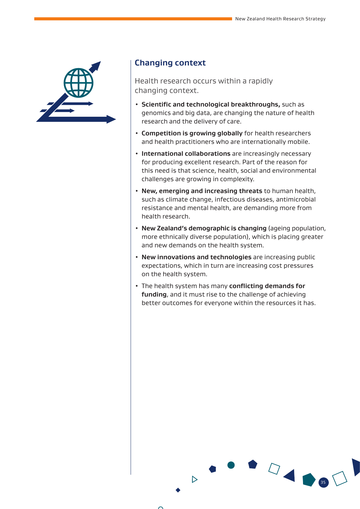

#### **Changing context**

Health research occurs within a rapidly changing context.

- **Scientific and technological breakthroughs,** such as genomics and big data, are changing the nature of health research and the delivery of care.
- **Competition is growing globally** for health researchers and health practitioners who are internationally mobile.
- **International collaborations** are increasingly necessary for producing excellent research. Part of the reason for this need is that science, health, social and environmental challenges are growing in complexity.
- **New, emerging and increasing threats** to human health, such as climate change, infectious diseases, antimicrobial resistance and mental health, are demanding more from health research.
- **New Zealand's demographic is changing** (ageing population, more ethnically diverse population), which is placing greater and new demands on the health system.
- **New innovations and technologies** are increasing public expectations, which in turn are increasing cost pressures on the health system.
- The health system has many **conflicting demands for funding**, and it must rise to the challenge of achieving better outcomes for everyone within the resources it has.

35



 $\triangleright$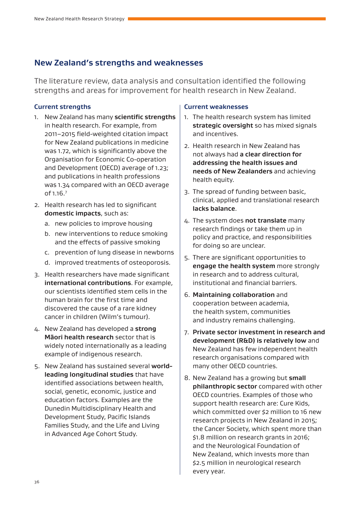#### **New Zealand's strengths and weaknesses**

The literature review, data analysis and consultation identified the following strengths and areas for improvement for health research in New Zealand.

#### **Current strengths**

- 1. New Zealand has many **scientific strengths** in health research. For example, from 2011–2015 field-weighted citation impact for New Zealand publications in medicine was 1.72, which is significantly above the Organisation for Economic Co-operation and Development (OECD) average of 1.23; and publications in health professions was 1.34 compared with an OECD average of 1.16.<sup>7</sup>
- 2. Health research has led to significant **domestic impacts**, such as:
	- a. new policies to improve housing
	- b. new interventions to reduce smoking and the effects of passive smoking
	- c. prevention of lung disease in newborns
	- d. improved treatments of osteoporosis.
- 3. Health researchers have made significant **international contributions**. For example, our scientists identified stem cells in the human brain for the first time and discovered the cause of a rare kidney cancer in children (Wilm's tumour).
- 4. New Zealand has developed a **strong Māori health research** sector that is widely noted internationally as a leading example of indigenous research.
- 5. New Zealand has sustained several **worldleading longitudinal studies** that have identified associations between health, social, genetic, economic, justice and education factors. Examples are the Dunedin Multidisciplinary Health and Development Study, Pacific Islands Families Study, and the Life and Living in Advanced Age Cohort Study.

#### **Current weaknesses**

- 1. The health research system has limited **strategic oversight** so has mixed signals and incentives.
- 2. Health research in New Zealand has not always had **a clear direction for addressing the health issues and needs of New Zealanders** and achieving health equity.
- 3. The spread of funding between basic, clinical, applied and translational research **lacks balance**.
- 4. The system does **not translate** many research findings or take them up in policy and practice, and responsibilities for doing so are unclear.
- 5. There are significant opportunities to **engage the health system** more strongly in research and to address cultural, institutional and financial barriers.
- 6. **Maintaining collaboration** and cooperation between academia, the health system, communities and industry remains challenging.
- 7. **Private sector investment in research and development (R&D) is relatively low** and New Zealand has few independent health research organisations compared with many other OECD countries.
- 8. New Zealand has a growing but **small philanthropic sector** compared with other OECD countries. Examples of those who support health research are: Cure Kids, which committed over \$2 million to 16 new research projects in New Zealand in 2015; the Cancer Society, which spent more than \$1.8 million on research grants in 2016; and the Neurological Foundation of New Zealand, which invests more than \$2.5 million in neurological research every year.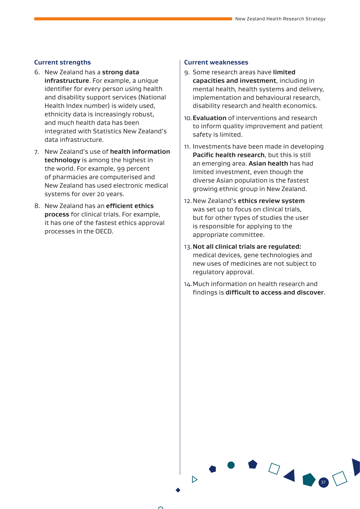- 6. New Zealand has a **strong data infrastructure**. For example, a unique identifier for every person using health and disability support services (National Health Index number) is widely used, ethnicity data is increasingly robust, and much health data has been integrated with Statistics New Zealand's data infrastructure.
- 7. New Zealand's use of **health information technology** is among the highest in the world. For example, 99 percent of pharmacies are computerised and New Zealand has used electronic medical systems for over 20 years.
- 8. New Zealand has an **efficient ethics process** for clinical trials. For example, it has one of the fastest ethics approval processes in the OECD.

#### **Current strengths Current weaknesses**

- 9. Some research areas have **limited capacities and investment**, including in mental health, health systems and delivery, implementation and behavioural research, disability research and health economics.
- 10.**Evaluation** of interventions and research to inform quality improvement and patient safety is limited.
- 11. Investments have been made in developing **Pacific health research**, but this is still an emerging area. **Asian health** has had limited investment, even though the diverse Asian population is the fastest growing ethnic group in New Zealand.
- 12.New Zealand's **ethics review system** was set up to focus on clinical trials, but for other types of studies the user is responsible for applying to the appropriate committee.
- 13.**Not all clinical trials are regulated:** medical devices, gene technologies and new uses of medicines are not subject to regulatory approval.
- 14.Much information on health research and findings is **difficult to access and discover**.

D

37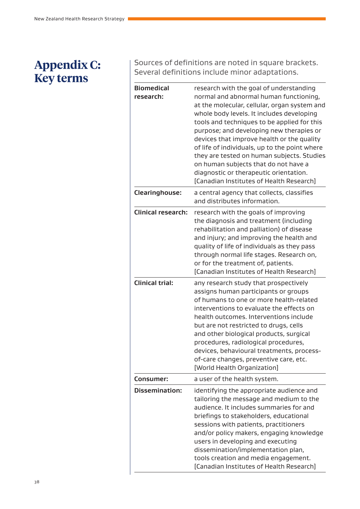## **Appendix C: Key terms**

Sources of definitions are noted in square brackets. Several definitions include minor adaptations.

| <b>Biomedical</b><br>research: | research with the goal of understanding<br>normal and abnormal human functioning,<br>at the molecular, cellular, organ system and<br>whole body levels. It includes developing<br>tools and techniques to be applied for this<br>purpose; and developing new therapies or<br>devices that improve health or the quality<br>of life of individuals, up to the point where<br>they are tested on human subjects. Studies<br>on human subjects that do not have a<br>diagnostic or therapeutic orientation.<br>[Canadian Institutes of Health Research] |
|--------------------------------|------------------------------------------------------------------------------------------------------------------------------------------------------------------------------------------------------------------------------------------------------------------------------------------------------------------------------------------------------------------------------------------------------------------------------------------------------------------------------------------------------------------------------------------------------|
| Clearinghouse:                 | a central agency that collects, classifies<br>and distributes information.                                                                                                                                                                                                                                                                                                                                                                                                                                                                           |
| <b>Clinical research:</b>      | research with the goals of improving<br>the diagnosis and treatment (including<br>rehabilitation and palliation) of disease<br>and injury; and improving the health and<br>quality of life of individuals as they pass<br>through normal life stages. Research on,<br>or for the treatment of, patients.<br>[Canadian Institutes of Health Research]                                                                                                                                                                                                 |
| <b>Clinical trial:</b>         | any research study that prospectively<br>assigns human participants or groups<br>of humans to one or more health-related<br>interventions to evaluate the effects on<br>health outcomes. Interventions include<br>but are not restricted to drugs, cells<br>and other biological products, surgical<br>procedures, radiological procedures,<br>devices, behavioural treatments, process-<br>of-care changes, preventive care, etc.<br>[World Health Organization]                                                                                    |
| Consumer:                      | a user of the health system.                                                                                                                                                                                                                                                                                                                                                                                                                                                                                                                         |
| Dissemination:                 | identifying the appropriate audience and<br>tailoring the message and medium to the<br>audience. It includes summaries for and<br>briefings to stakeholders, educational<br>sessions with patients, practitioners<br>and/or policy makers, engaging knowledge<br>users in developing and executing<br>dissemination/implementation plan,<br>tools creation and media engagement.<br>[Canadian Institutes of Health Research]                                                                                                                         |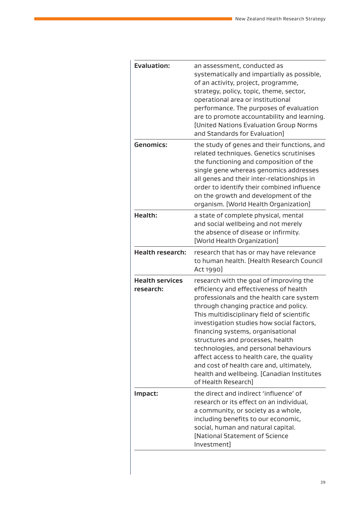| <b>Evaluation:</b>                  | an assessment, conducted as<br>systematically and impartially as possible,<br>of an activity, project, programme,<br>strategy, policy, topic, theme, sector,<br>operational area or institutional<br>performance. The purposes of evaluation<br>are to promote accountability and learning.<br>[United Nations Evaluation Group Norms<br>and Standards for Evaluation]                                                                                                                                                                            |
|-------------------------------------|---------------------------------------------------------------------------------------------------------------------------------------------------------------------------------------------------------------------------------------------------------------------------------------------------------------------------------------------------------------------------------------------------------------------------------------------------------------------------------------------------------------------------------------------------|
| <b>Genomics:</b>                    | the study of genes and their functions, and<br>related techniques. Genetics scrutinises<br>the functioning and composition of the<br>single gene whereas genomics addresses<br>all genes and their inter-relationships in<br>order to identify their combined influence<br>on the growth and development of the<br>organism. [World Health Organization]                                                                                                                                                                                          |
| <b>Health:</b>                      | a state of complete physical, mental<br>and social wellbeing and not merely<br>the absence of disease or infirmity.<br>[World Health Organization]                                                                                                                                                                                                                                                                                                                                                                                                |
| <b>Health research:</b>             | research that has or may have relevance<br>to human health. [Health Research Council<br>Act 1990]                                                                                                                                                                                                                                                                                                                                                                                                                                                 |
| <b>Health services</b><br>research: | research with the goal of improving the<br>efficiency and effectiveness of health<br>professionals and the health care system<br>through changing practice and policy.<br>This multidisciplinary field of scientific<br>investigation studies how social factors,<br>financing systems, organisational<br>structures and processes, health<br>technologies, and personal behaviours<br>affect access to health care, the quality<br>and cost of health care and, ultimately,<br>health and wellbeing. [Canadian Institutes<br>of Health Research] |
| Impact:                             | the direct and indirect 'influence' of<br>research or its effect on an individual,<br>a community, or society as a whole,<br>including benefits to our economic,<br>social, human and natural capital.<br>[National Statement of Science<br>Investment]                                                                                                                                                                                                                                                                                           |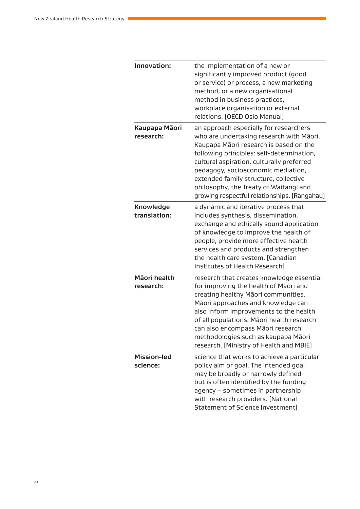| Innovation:                      | the implementation of a new or<br>significantly improved product (good<br>or service) or process, a new marketing<br>method, or a new organisational<br>method in business practices,<br>workplace organisation or external<br>relations. [OECD Oslo Manual]                                                                                                                                    |
|----------------------------------|-------------------------------------------------------------------------------------------------------------------------------------------------------------------------------------------------------------------------------------------------------------------------------------------------------------------------------------------------------------------------------------------------|
| Kaupapa Māori<br>research:       | an approach especially for researchers<br>who are undertaking research with Māori.<br>Kaupapa Māori research is based on the<br>following principles: self-determination,<br>cultural aspiration, culturally preferred<br>pedagogy, socioeconomic mediation,<br>extended family structure, collective<br>philosophy, the Treaty of Waitangi and<br>growing respectful relationships. [Rangahau] |
| <b>Knowledge</b><br>translation: | a dynamic and iterative process that<br>includes synthesis, dissemination,<br>exchange and ethically sound application<br>of knowledge to improve the health of<br>people, provide more effective health<br>services and products and strengthen<br>the health care system. [Canadian<br>Institutes of Health Research]                                                                         |
| Māori health<br>research:        | research that creates knowledge essential<br>for improving the health of Maori and<br>creating healthy Māori communities.<br>Māori approaches and knowledge can<br>also inform improvements to the health<br>of all populations. Māori health research<br>can also encompass Māori research<br>methodologies such as kaupapa Māori<br>research. [Ministry of Health and MBIE]                   |
| <b>Mission-led</b><br>science:   | science that works to achieve a particular<br>policy aim or goal. The intended goal<br>may be broadly or narrowly defined<br>but is often identified by the funding<br>agency - sometimes in partnership<br>with research providers. [National<br>Statement of Science Investment]                                                                                                              |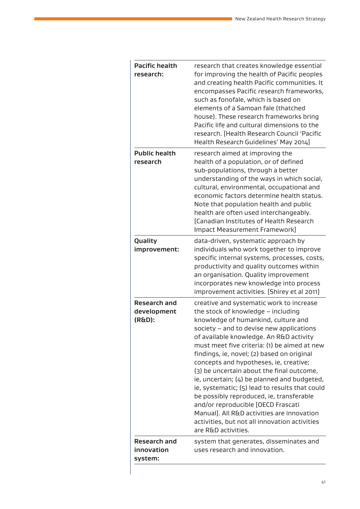| <b>Pacific health</b><br>research:           | research that creates knowledge essential<br>for improving the health of Pacific peoples<br>and creating health Pacific communities. It<br>encompasses Pacific research frameworks,<br>such as fonofale, which is based on<br>elements of a Samoan fale (thatched<br>house). These research frameworks bring<br>Pacific life and cultural dimensions to the<br>research. [Health Research Council 'Pacific<br>Health Research Guidelines' May 2014]                                                                                                                                                                                                                                                        |
|----------------------------------------------|------------------------------------------------------------------------------------------------------------------------------------------------------------------------------------------------------------------------------------------------------------------------------------------------------------------------------------------------------------------------------------------------------------------------------------------------------------------------------------------------------------------------------------------------------------------------------------------------------------------------------------------------------------------------------------------------------------|
| <b>Public health</b><br>research             | research aimed at improving the<br>health of a population, or of defined<br>sub-populations, through a better<br>understanding of the ways in which social,<br>cultural, environmental, occupational and<br>economic factors determine health status.<br>Note that population health and public<br>health are often used interchangeably.<br>[Canadian Institutes of Health Research<br>Impact Measurement Framework]                                                                                                                                                                                                                                                                                      |
| Quality<br>improvement:                      | data-driven, systematic approach by<br>individuals who work together to improve<br>specific internal systems, processes, costs,<br>productivity and quality outcomes within<br>an organisation. Quality improvement<br>incorporates new knowledge into process<br>improvement activities. [Shirey et al 2011]                                                                                                                                                                                                                                                                                                                                                                                              |
| <b>Research and</b><br>development<br>(R&D): | creative and systematic work to increase<br>the stock of knowledge - including<br>knowledge of humankind, culture and<br>society - and to devise new applications<br>of available knowledge. An R&D activity<br>must meet five criteria: (1) be aimed at new<br>findings, ie, novel; (2) based on original<br>concepts and hypotheses, ie, creative;<br>(3) be uncertain about the final outcome,<br>ie, uncertain; (4) be planned and budgeted,<br>ie, systematic; (5) lead to results that could<br>be possibly reproduced, ie, transferable<br>and/or reproducible [OECD Frascati<br>Manual]. All R&D activities are innovation<br>activities, but not all innovation activities<br>are R&D activities. |
| <b>Research and</b><br>innovation<br>system: | system that generates, disseminates and<br>uses research and innovation.                                                                                                                                                                                                                                                                                                                                                                                                                                                                                                                                                                                                                                   |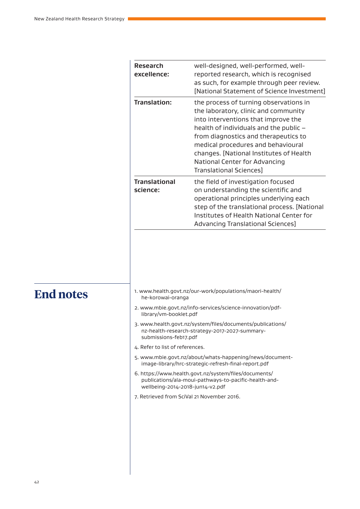| <b>Research</b><br>excellence:   | well-designed, well-performed, well-<br>reported research, which is recognised<br>as such, for example through peer review.<br>[National Statement of Science Investment]                                                                                                                                                                            |
|----------------------------------|------------------------------------------------------------------------------------------------------------------------------------------------------------------------------------------------------------------------------------------------------------------------------------------------------------------------------------------------------|
| Translation:                     | the process of turning observations in<br>the laboratory, clinic and community<br>into interventions that improve the<br>health of individuals and the public -<br>from diagnostics and therapeutics to<br>medical procedures and behavioural<br>changes. [National Institutes of Health<br>National Center for Advancing<br>Translational Sciences] |
| <b>Translational</b><br>science: | the field of investigation focused<br>on understanding the scientific and<br>operational principles underlying each<br>step of the translational process. [National<br>Institutes of Health National Center for<br>Advancing Translational Sciences]                                                                                                 |

- 1. www.health.govt.nz/our-work/populations/maori-health/ he-korowai-oranga
- 2. www.mbie.govt.nz/info-services/science-innovation/pdflibrary/vm-booklet.pdf
- 3. www.health.govt.nz/system/files/documents/publications/ nz-health-research-strategy-2017-2027-summarysubmissions-feb17.pdf
- 4. Refer to list of references.
- 5. www.mbie.govt.nz/about/whats-happening/news/documentimage-library/hrc-strategic-refresh-final-report.pdf
- 6. https://www.health.govt.nz/system/files/documents/ publications/ala-moui-pathways-to-pacific-health-andwellbeing-2014-2018-jun14-v2.pdf
- 7. Retrieved from SciVal 21 November 2016.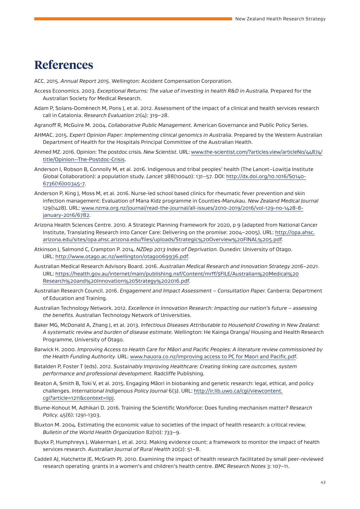### **References**

ACC. 2015. *Annual Report 2015*. Wellington: Accident Compensation Corporation.

- Access Economics. 2003. *Exceptional Returns: The value of investing in health R&D in Australia.* Prepared for the Australian Society for Medical Research.
- Adam P, Solans-Domènech M, Pons J, et al. 2012. Assessment of the impact of a clinical and health services research call in Catalonia. *Research Evaluation* 21(4): 319–28.
- Agranoff R, McGuire M. 2004. *Collaborative Public Management.* American Governance and Public Policy Series.
- AHMAC. 2015. *Expert Opinion Paper: Implementing clinical genomics in Australia.* Prepared by the Western Australian Department of Health for the Hospitals Principal Committee of the Australian Health.
- Ahmed MZ. 2016. Opinion: The postdoc crisis. *New Scientist*. URL: www.the-scientist.com/?articles.view/articleNo/44874/ title/Opinion--The-Postdoc-Crisis.
- Anderson I, Robson B, Connolly M, et al. 2016. Indigenous and tribal peoples' health (The Lancet–Lowitja Institute Global Collaboration): a population study. *Lancet* 388(10040): 131–57. DOI: http://dx.doi.org/10.1016/S0140- 6736(16)00345-7.
- Anderson P, King J, Moss M, et al. 2016. Nurse-led school based clinics for rheumatic fever prevention and skin infection management: Evaluation of Mana Kidz programme in Counties-Manukau. *New Zealand Medical Journal*  129(1428). URL: www.nzma.org.nz/journal/read-the-journal/all-issues/2010-2019/2016/vol-129-no-1428-8 january-2016/6782.
- Arizona Health Sciences Centre. 2010. A Strategic Planning Framework for 2020, p 9 (adapted from National Cancer Institute, Translating Research into Cancer Care: Delivering on the promise: 2004–2005). URL: http://opa.ahsc. arizona.edu/sites/opa.ahsc.arizona.edu/files/uploads/Strategic%20Overview%20FINAL%205.pdf.
- Atkinson J, Salmond C, Crampton P. 2014. *NZDep 2013 Index of Deprivation.* Dunedin: University of Otago. URL: http://www.otago.ac.nz/wellington/otago069936.pdf.
- Australian Medical Research Advisory Board. 2016. *Australian Medical Research and Innovation Strategy 2016–2021.* URL: https://health.gov.au/internet/main/publishing.nsf/Content/mrff/\$FILE/Australian%20Medical%20 Research%20and%20Innovation%20Strategy%202016.pdf.
- Australian Research Council. 2016. *Engagement and Impact Assessment Consultation Paper.* Canberra: Department of Education and Training.
- Australian Technology Network. 2012. *Excellence in Innovation Research: Impacting our nation's future assessing the benefits.* Australian Technology Network of Universities.
- Baker MG, McDonald A, Zhang J, et al. 2013. *Infectious Diseases Attributable to Household Crowding in New Zealand: A systematic review and burden of disease estimate.* Wellington: He Kainga Oranga/ Housing and Health Research Programme, University of Otago.
- Barwick H. 2000. *Improving Access to Health Care for Māori and Pacific Peoples: A literature review commissioned by the Health Funding Authority.* URL: www.hauora.co.nz/improving access to PC for Maori and Pacific.pdf.
- Batalden P, Foster T (eds). 2012. *Sustainably Improving Healthcare: Creating linking care outcomes, system performance and professional development.* Radcliffe Publishing.
- Beaton A, Smith B, Toki V, et al. 2015. Engaging Māori in biobanking and genetic research: legal, ethical, and policy challenges. *International Indigenous Policy Journal* 6(3). URL: http://ir.lib.uwo.ca/cgi/viewcontent. cgi?article=1211&context=iipj.
- Blume-Kohout M, Adhikari D. 2016. Training the Scientific Workforce: Does funding mechanism matter? *Research Policy.* 45(6): 1291-1303.
- Bluxton M. 2004. Estimating the economic value to societies of the impact of health research: a critical review. *Bulletin of the World Health Organization* 82(10): 733–9.
- Buykx P, Humphreys J, Wakerman J, et al. 2012. Making evidence count: a framework to monitor the impact of health services research. *Australian Journal of Rural Health* 20(2): 51–8.
- Caddell AJ, Hatchette JE, McGrath PJ. 2010. Examining the impact of health research facilitated by small peer-reviewed research operating grants in a women's and children's health centre. *BMC Research Notes* 3: 107–11.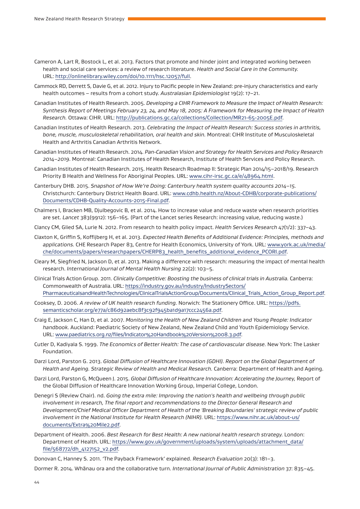- Cameron A, Lart R, Bostock L, et al. 2013. Factors that promote and hinder joint and integrated working between health and social care services: a review of research literature. *Health and Social Care in the Community.* URL: http://onlinelibrary.wiley.com/doi/10.1111/hsc.12057/full.
- Cammock RD, Derrett S, Davie G, et al. 2012. Injury to Pacific people in New Zealand: pre-injury characteristics and early health outcomes – results from a cohort study. *Australasian Epidemiologist* 19(2): 17–21.
- Canadian Institutes of Health Research. 2005. *Developing a CIHR Framework to Measure the Impact of Health Research: Synthesis Report of Meetings February 23, 24, and May 18, 2005: A Framework for Measuring the Impact of Health Research.* Ottawa: CIHR. URL: http://publications.gc.ca/collections/Collection/MR21-65-2005E.pdf.
- Canadian Institutes of Health Research. 2013. *Celebrating the Impact of Health Research: Success stories in arthritis, bone, muscle, musculoskeletal rehabilitation, oral health and skin.* Montreal: CIHR Institute of Musculoskeletal Health and Arthritis Canadian Arthritis Network.
- Canadian Institutes of Health Research. 2014. *Pan-Canadian Vision and Strategy for Health Services and Policy Research 2014–2019.* Montreal: Canadian Institutes of Health Research, Institute of Health Services and Policy Research.
- Canadian Institutes of Health Research. 2015. Health Research Roadmap II: Strategic Plan 2014/15–2018/19. Research Priority B Health and Wellness For Aboriginal Peoples. URL: www.cihr-irsc.gc.ca/e/48964.html.
- Canterbury DHB. 2015. *Snapshot of How We're Doing: Canterbury health system quality accounts 2014–15.* Christchurch: Canterbury District Health Board. URL: www.cdhb.health.nz/About-CDHB/corporate-publications/ Documents/CDHB-Quality-Accounts-2015-Final.pdf.
- Chalmers I, Bracken MB, Djulbegovic B, et al. 2014. How to increase value and reduce waste when research priorities are set. *Lancet* 383(9912): 156–165. (Part of the Lancet series Research: increasing value, reducing waste.)
- Clancy CM, Glied SA, Lurie N. 2012. From research to health policy impact. *Health Services Research* 47(1/2): 337–43.
- Claxton K, Griffin S, Koffijberg H, et al. 2013. *Expected Health Benefits of Additional Evidence: Principles, methods and applications.* CHE Research Paper 83, Centre for Health Economics, University of York. URL: www.york.ac.uk/media/ che/documents/papers/researchpapers/CHERP83\_health\_benefits\_additional\_evidence\_PCORI.pdf.
- Cleary M, Siegfried N, Jackson D, et al. 2013. Making a difference with research: measuring the impact of mental health research. *International Journal of Mental Health Nursing* 22(2): 103–5.
- Clinical Trials Action Group. 2011. *Clinically Competitive: Boosting the business of clinical trials in Australia.* Canberra: Commonwealth of Australia. URL: https://industry.gov.au/industry/IndustrySectors/ PharmaceuticalsandHealthTechnologies/ClinicalTrialsActionGroup/Documents/Clinical\_Trials\_Action\_Group\_Report.pdf.
- Cooksey, D. 2006. *A review of UK health research funding.* Norwich: The Stationery Office. URL: https://pdfs. semanticscholar.org/e77a/c86d92aebc8f3c92f945ba1d9a17ccc2456a.pdf.
- Craig E, Jackson C, Han D, et al. 2007. *Monitoring the Health of New Zealand Children and Young People: Indicator handbook.* Auckland: Paediatric Society of New Zealand, New Zealand Child and Youth Epidemiology Service. URL: www.paediatrics.org.nz/files/Indicator%20Handbook%20Version%2008.3.pdf.
- Cutler D, Kadiyala S. 1999. *The Economics of Better Health: The case of cardiovascular disease.* New York: The Lasker Foundation.
- Darzi Lord, Parston G. 2013. *Global Diffusion of Healthcare Innovation (GDHI). Report on the Global Department of Health and Ageing. Strategic Review of Health and Medical Research.* Canberra: Department of Health and Ageing.
- Darzi Lord, Parston G, McQueen J. 2015. *Global Diffusion of Healthcare Innovation: Accelerating the Journey,* Report of the Global Diffusion of Healthcare Innovation Working Group, Imperial College, London.
- Denegri S (Review Chair). nd. *Going the extra mile: Improving the nation's health and wellbeing through public involvement in research, The final report and recommendations to the Director General Research and Development/Chief Medical Officer Department of Health of the 'Breaking Boundaries' strategic review of public involvement in the National Institute for Health Research (NIHR).* URL: https://www.nihr.ac.uk/about-us/ documents/Extra%20Mile2.pdf.
- Department of Health. 2006. *Best Research for Best Health: A new national health research strategy.* London: Department of Health. URL: https://www.gov.uk/government/uploads/system/uploads/attachment\_data/ file/568772/dh\_4127152\_v2.pdf.

Donovan C, Hanney S. 2011. 'The Payback Framework' explained. *Research Evaluation* 20(3): 181–3.

Dormer R. 2014. Whānau ora and the collaborative turn. *International Journal of Public Administration* 37: 835–45.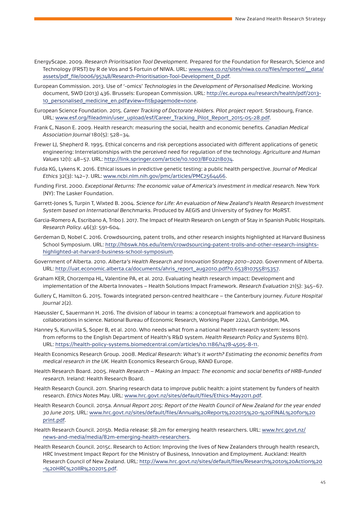- EnergyScape. 2009. *Research Prioritisation Tool Development.* Prepared for the Foundation for Research, Science and Technology (FRST) by R de Vos and S Fortuin of NIWA. URL: www.niwa.co.nz/sites/niwa.co.nz/files/imported/\_\_data/ assets/pdf\_file/0006/95748/Research-Prioritisation-Tool-Development\_D.pdf.
- European Commission. 2013. Use of '-omics' *Technologies* in the *Development of Personalised Medicine.* Working document, SWD (2013) 436. Brussels: European Commission. URL: http://ec.europa.eu/research/health/pdf/2013- 10\_personalised\_medicine\_en.pdf#view=fit&pagemode=none.
- European Science Foundation. 2015. *Career Tracking of Doctorate Holders. Pilot project report.* Strasbourg, France. URL: www.esf.org/fileadmin/user\_upload/esf/Career\_Tracking\_Pilot\_Report\_2015-05-28.pdf.
- Frank C, Nason E. 2009. Health research: measuring the social, health and economic benefits. *Canadian Medical Association Journal* 180(5): 528–34.
- Frewer LJ, Shepherd R. 1995. Ethical concerns and risk perceptions associated with different applications of genetic engineering: Interrelationships with the perceived need for regulation of the technology. *Agriculture and Human Values* 12(1): 48–57. URL: http://link.springer.com/article/10.1007/BF02218074.
- Fulda KG, Lykens K. 2016. Ethical issues in predictive genetic testing: a public health perspective. *Journal of Medical Ethics* 32(3): 142–7. URL: www.ncbi.nlm.nih.gov/pmc/articles/PMC2564466.
- Funding First. 2000. *Exceptional Returns: The economic value of America's investment in medical research.* New York (NY): The Lasker Foundation.
- Garrett-Jones S, Turpin T, Wixted B. 2004. *Science for Life: An evaluation of New Zealand's Health Research Investment System based on International Benchmarks.* Produced by AEGIS and University of Sydney for MoRST.
- Garcia-Romero A, Escribano A, Tribo J. 2017. The Impact of Health Research on Length of Stay in Spanish Public Hospitals. *Research Policy.* 46(3): 591-604.
- Gerdeman D, Nobel C. 2016. Crowdsourcing, patent trolls, and other research insights highlighted at Harvard Business School Symposium. URL: http://hbswk.hbs.edu/item/crowdsourcing-patent-trolls-and-other-research-insightshighlighted-at-harvard-business-school-symposium.
- Government of Alberta. 2010. *Alberta's Health Research and Innovation Strategy 2010–2020.* Government of Alberta. URL: http://uat.economic.alberta.ca/documents/ahris\_report\_aug2010.pdf?0.653810755815357.
- Graham KER, Chorzempa HL, Valentine PA, et al. 2012. Evaluating health research impact: Development and implementation of the Alberta Innovates – Health Solutions Impact Framework. *Research Evaluation* 21(5): 345–67.
- Gullery C, Hamilton G. 2015. Towards integrated person-centred healthcare the Canterbury journey. *Future Hospital Journal* 2(2).
- Haeussler C, Sauermann H. 2016. The division of labour in teams: a conceptual framework and application to collaborations in science. National Bureau of Economic Research, Working Paper 22241, Cambridge, MA.
- Hanney S, Kuruvilla S, Soper B, et al. 2010. Who needs what from a national health research system: lessons from reforms to the English Department of Health's R&D system. *Health Research Policy and Systems* 8(11). URL: https://health-policy-systems.biomedcentral.com/articles/10.1186/1478-4505-8-11.
- Health Economics Research Group. 2008. *Medical Research: What's it worth? Estimating the economic benefits from medical research in the UK.* Health Economics Research Group, RAND Europe.
- Health Research Board. 2005. *Health Research Making an Impact: The economic and social benefits of HRB-funded research.* Ireland: Health Research Board.
- Health Research Council. 2011. Sharing research data to improve public health: a joint statement by funders of health research. *Ethics Notes* May. URL: www.hrc.govt.nz/sites/default/files/Ethics-May2011.pdf.
- Health Research Council. 2015a. *Annual Report 2015: Report of the Health Council of New Zealand for the year ended 30 June 2015.* URL: www.hrc.govt.nz/sites/default/files/Annual%20Report%202015%20-%20FINAL%20for%20 print.pdf.
- Health Research Council. 2015b. Media release: \$8.2m for emerging health researchers. URL: www.hrc.govt.nz/ news-and-media/media/82m-emerging-health-researchers.
- Health Research Council. 2015c. Research to Action: Improving the lives of New Zealanders through health research, HRC Investment Impact Report for the Ministry of Business, Innovation and Employment. Auckland: Health Research Council of New Zealand. URL: http://www.hrc.govt.nz/sites/default/files/Research%20to%20Action%20 -%20HRC%20IIR%202015.pdf.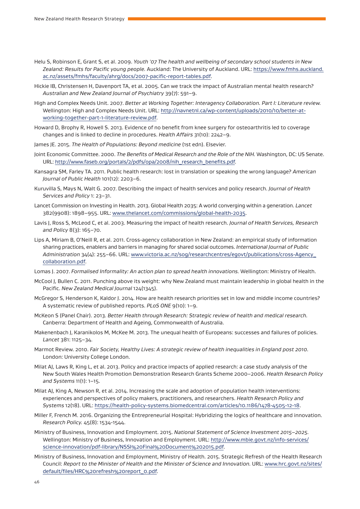- Helu S, Robinson E, Grant S, et al. 2009. *Youth '07 The health and wellbeing of secondary school students in New Zealand: Results for Pacific young people.* Auckland: The University of Auckland. URL: https://www.fmhs.auckland. ac.nz/assets/fmhs/faculty/ahrg/docs/2007-pacific-report-tables.pdf.
- Hickie IB, Christensen H, Davenport TA, et al. 2005. Can we track the impact of Australian mental health research? *Australian and New Zealand Journal of Psychiatry* 39(7): 591–9.
- High and Complex Needs Unit. 2007. *Better at Working Together: Interagency Collaboration. Part I: Literature review.* Wellington: High and Complex Needs Unit. URL: http://navnetnl.ca/wp-content/uploads/2010/10/better-atworking-together-part-1-literature-review.pdf.
- Howard D, Brophy R, Howell S. 2013. Evidence of no benefit from knee surgery for osteoarthritis led to coverage changes and is linked to decline in procedures. *Health Affairs* 31(10): 2242–9.
- James JE. 2015. *The Health of Populations: Beyond medicine* (1st edn). Elsevier.
- Joint Economic Committee. 2000. *The Benefits of Medical Research and the Role of the NIH.* Washington, DC: US Senate. URL: http://www.faseb.org/portals/2/pdfs/opa/2008/nih\_research\_benefits.pdf.
- Kansagra SM, Farley TA. 2011. Public health research: lost in translation or speaking the wrong language? *American Journal of Public Health* 101(12): 2203–6.
- Kuruvilla S, Mays N, Walt G. 2007. Describing the impact of health services and policy research. *Journal of Health Services and Policy* 1: 23–31.
- Lancet Commission on Investing in Health. 2013. Global Health 2035: A world converging within a generation. *Lancet* 382(9908): 1898–955. URL: www.thelancet.com/commissions/global-health-2035.
- Lavis J, Ross S, McLeod C, et al. 2003. Measuring the impact of health research. *Journal of Health Services, Research and Policy* 8(3): 165–70.
- Lips A, Miriam B, O'Neill R, et al. 2011. Cross-agency collaboration in New Zealand: an empirical study of information sharing practices, enablers and barriers in managing for shared social outcomes. *International Journal of Public Administration* 34(4): 255–66. URL: www.victoria.ac.nz/sog/researchcentres/egovt/publications/cross-Agency\_ collaboration.pdf.
- Lomas J. 2007. *Formalised Informality: An action plan to spread health innovations.* Wellington: Ministry of Health.
- McCool J, Bullen C. 2011. Punching above its weight: why New Zealand must maintain leadership in global health in the Pacific. *New Zealand Medical Journal* 124(1345).
- McGregor S, Henderson K, Kaldor J. 2014. How are health research priorities set in low and middle income countries? A systematic review of published reports. *PLoS ONE* 9(10): 1–9.
- McKeon S (Panel Chair). 2013. *Better Health through Research: Strategic review of health and medical research.* Canberra: Department of Health and Ageing, Commonwealth of Australia.
- Makenenbach J, Karanikolos M, McKee M. 2013. The unequal health of Europeans: successes and failures of policies. *Lancet* 381: 1125–34.
- Marmot Review. 2010. *Fair Society, Healthy Lives: A strategic review of health inequalities in England post 2010.* London: University College London.
- Milat AJ, Laws R, King L, et al. 2013. Policy and practice impacts of applied research: a case study analysis of the New South Wales Health Promotion Demonstration Research Grants Scheme 2000–2006. *Health Research Policy and Systems* 11(1): 1–15.
- Milat AJ, King A, Newson R, et al. 2014. Increasing the scale and adoption of population health interventions: experiences and perspectives of policy makers, practitioners, and researchers. *Health Research Policy and Systems* 12(18). URL: https://health-policy-systems.biomedcentral.com/articles/10.1186/1478-4505-12-18.
- Miller F, French M. 2016. Organizing the Entrepreneurial Hospital: Hybridizing the logics of healthcare and innovation. *Research Policy.* 45(8): 1534-1544.
- Ministry of Business, Innovation and Employment. 2015. *National Statement of Science Investment 2015–2025.* Wellington: Ministry of Business, Innovation and Employment. URL: http://www.mbie.govt.nz/info-services/ science-innovation/pdf-library/NSSI%20Final%20Document%202015.pdf.
- Ministry of Business, Innovation and Employment, Ministry of Health. 2015. Strategic Refresh of the Health Research Council: *Report to the Minister of Health and the Minister of Science and Innovation.* URL: www.hrc.govt.nz/sites/ default/files/HRC%20refresh%20report\_0.pdf.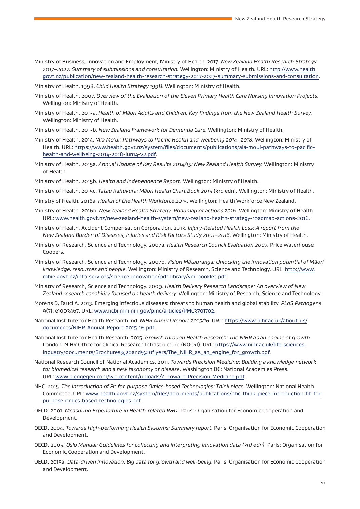- Ministry of Business, Innovation and Employment, Ministry of Health. 2017. *New Zealand Health Research Strategy 2017–2027: Summary of submissions and consultation.* Wellington: Ministry of Health. URL: http://www.health. govt.nz/publication/new-zealand-health-research-strategy-2017-2027-summary-submissions-and-consultation.
- Ministry of Health. 1998. *Child Health Strategy 1998.* Wellington: Ministry of Health.
- Ministry of Health. 2007. *Overview of the Evaluation of the Eleven Primary Health Care Nursing Innovation Projects.* Wellington: Ministry of Health.
- Ministry of Health. 2013a. *Health of Māori Adults and Children: Key findings from the New Zealand Health Survey.* Wellington: Ministry of Health.
- Ministry of Health. 2013b. *New Zealand Framework for Dementia Care.* Wellington: Ministry of Health.
- Ministry of Health. 2014. *'Ala Mo'ui: Pathways to Pacific Health and Wellbeing 2014–2018.* Wellington: Ministry of Health. URL: https://www.health.govt.nz/system/files/documents/publications/ala-moui-pathways-to-pacifichealth-and-wellbeing-2014-2018-jun14-v2.pdf.
- Ministry of Health. 2015a. *Annual Update of Key Results 2014/15: New Zealand Health Survey.* Wellington: Ministry of Health.
- Ministry of Health. 2015b. *Health and Independence Report.* Wellington: Ministry of Health.
- Ministry of Health. 2015c. *Tatau Kahukura: Māori Health Chart Book 2015* (3rd edn). Wellington: Ministry of Health.
- Ministry of Health. 2016a. *Health of the Health Workforce 2015.* Wellington: Health Workforce New Zealand.
- Ministry of Health. 2016b. *New Zealand Health Strategy: Roadmap of actions 2016.* Wellington: Ministry of Health. URL: www.health.govt.nz/new-zealand-health-system/new-zealand-health-strategy-roadmap-actions-2016.
- Ministry of Health, Accident Compensation Corporation. 2013. *Injury-Related Health Loss: A report from the New Zealand Burden of Diseases, Injuries and Risk Factors Study 2001–2016.* Wellington: Ministry of Health.
- Ministry of Research, Science and Technology. 2007a. *Health Research Council Evaluation 2007.* Price Waterhouse Coopers.
- Ministry of Research, Science and Technology. 2007b. *Vision Mātauranga: Unlocking the innovation potential of Māori knowledge, resources and people.* Wellington: Ministry of Research, Science and Technology. URL: http://www. mbie.govt.nz/info-services/science-innovation/pdf-library/vm-booklet.pdf.
- Ministry of Research, Science and Technology. 2009. *Health Delivery Research Landscape: An overview of New Zealand research capability focused on health delivery.* Wellington: Ministry of Research, Science and Technology.
- Morens D, Fauci A. 2013. Emerging infectious diseases: threats to human health and global stability. *PLoS Pathogens* 9(7): e1003467. URL: www.ncbi.nlm.nih.gov/pmc/articles/PMC3701702.
- National Institute for Health Research. nd. *NIHR Annual Report 2015/16.* URL: https://www.nihr.ac.uk/about-us/ documents/NIHR-Annual-Report-2015-16.pdf.
- National Institute for Health Research. 2015. *Growth through Health Research: The NIHR as an engine of growth.* London: NIHR Office for Clinical Research Infrastructure (NOCRI). URL: https://www.nihr.ac.uk/life-sciencesindustry/documents/Brochures%20and%20flyers/The\_NIHR\_as\_an\_engine\_for\_growth.pdf.
- National Research Council of National Academics. 2011. *Towards Precision Medicine: Building a knowledge network for biomedical research and a new taxonomy of disease.* Washington DC: National Academies Press. URL: www.plengegen.com/wp-content/uploads/4\_Toward-Precision-Medicine.pdf.
- NHC. 2015. *The Introduction of Fit for-purpose Omics-based Technologies: Think piece.* Wellington: National Health Committee. URL: www.health.govt.nz/system/files/documents/publications/nhc-think-piece-introduction-fit-forpurpose-omics-based-technologies.pdf.
- OECD. 2001. *Measuring Expenditure in Health-related R&D.* Paris: Organisation for Economic Cooperation and Development.
- OECD. 2004. *Towards High-performing Health Systems: Summary report.* Paris: Organisation for Economic Cooperation and Development.
- OECD. 2005. *Oslo Manual: Guidelines for collecting and interpreting innovation data (3rd edn).* Paris: Organisation for Economic Cooperation and Development.
- OECD. 2015a. *Data-driven Innovation: Big data for growth and well-being.* Paris: Organisation for Economic Cooperation and Development.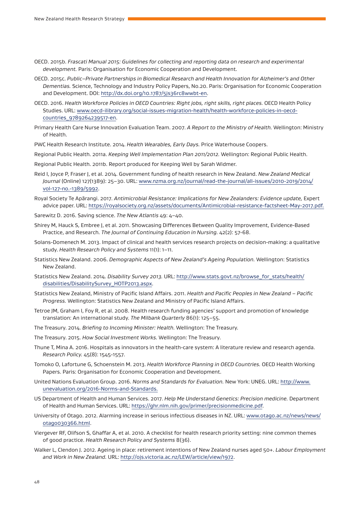- OECD. 2015b. *Frascati Manual 2015: Guidelines for collecting and reporting data on research and experimental development.* Paris: Organisation for Economic Cooperation and Development.
- OECD. 2015c. *Public–Private Partnerships in Biomedical Research and Health Innovation for Alzheimer's and Other Dementias.* Science, Technology and Industry Policy Papers, No.20. Paris: Organisation for Economic Cooperation and Development. DOI: http://dx.doi.org/10.1787/5js36rc8wwbt-en.
- OECD. 2016. *Health Workforce Policies in OECD Countries: Right jobs, right skills, right places.* OECD Health Policy Studies. URL: www.oecd-ilibrary.org/social-issues-migration-health/health-workforce-policies-in-oecdcountries\_9789264239517-en.
- Primary Health Care Nurse Innovation Evaluation Team. 2007. *A Report to the Ministry of Health.* Wellington: Ministry of Health.
- PWC Health Research Institute. 2014. *Health Wearables, Early Days.* Price Waterhouse Coopers.

Regional Public Health. 2011a. *Keeping Well Implementation Plan 2011/2012.* Wellington: Regional Public Health.

Regional Public Health. 2011b. Report produced for Keeping Well by Sarah Widmer.

- Reid I, Joyce P, Fraser J, et al. 2014. Government funding of health research in New Zealand. *New Zealand Medical Journal* (Online) 127(1389): 25–30. URL: www.nzma.org.nz/journal/read-the-journal/all-issues/2010-2019/2014/ vol-127-no.-1389/5992.
- Royal Society Te Apārangi. 2017. *Antimicrobial Resistance: Implications for New Zealanders: Evidence update,* Expert advice paper. URL: https://royalsociety.org.nz/assets/documents/Antimicrobial-resistance-factsheet-May-2017.pdf.
- Sarewitz D. 2016. Saving science. *The New Atlantis* 49: 4–40.
- Shirey M, Hauck S, Embree J, et al. 2011. Showcasing Differences Between Quality Improvement, Evidence-Based Practice, and Research. *The Journal of Continuing Education in Nursing.* 42(2): 57-68.
- Solans-Domenech M. 2013. Impact of clinical and health services research projects on decision-making: a qualitative study. *Health Research Policy and Systems* 11(1): 1–11.
- Statistics New Zealand. 2006. *Demographic Aspects of New Zealand's Ageing Population.* Wellington: Statistics New Zealand.
- Statistics New Zealand. 2014. *Disability Survey 2013.* URL: http://www.stats.govt.nz/browse\_for\_stats/health/ disabilities/DisabilitySurvey\_HOTP2013.aspx.
- Statistics New Zealand, Ministry of Pacific Island Affairs. 2011. *Health and Pacific Peoples in New Zealand Pacific Progress.* Wellington: Statistics New Zealand and Ministry of Pacific Island Affairs.
- Tetroe JM, Graham I, Foy R, et al. 2008. Health research funding agencies' support and promotion of knowledge translation: An international study. *The Milbank Quarterly* 86(1): 125–55.
- The Treasury. 2014. *Briefing to Incoming Minister: Health.* Wellington: The Treasury.
- The Treasury. 2015. *How Social Investment Works.* Wellington: The Treasury.
- Thune T, Mina A. 2016. Hospitals as innovators in the health-care system: A literature review and research agenda. *Research Policy.* 45(8): 1545-1557.
- Tomoko O, Lafortune G, Schoenstein M. 2013. *Health Workforce Planning in OECD Countries.* OECD Health Working Papers. Paris: Organisation for Economic Cooperation and Development.
- United Nations Evaluation Group. 2016. *Norms and Standards for Evaluation.* New York: UNEG. URL: http://www. unevaluation.org/2016-Norms-and-Standards.
- US Department of Health and Human Services. 2017. *Help Me Understand Genetics: Precision medicine.* Department of Health and Human Services. URL: https://ghr.nlm.nih.gov/primer/precisionmedicine.pdf.
- University of Otago. 2012. Alarming increase in serious infectious diseases in NZ. URL: www.otago.ac.nz/news/news/ otago030366.html.
- Viergever RF, Olifson S, Ghaffar A, et al. 2010. A checklist for health research priority setting: nine common themes of good practice. *Health Research Policy and Systems* 8(36).
- Walker L, Clendon J. 2012. Ageing in place: retirement intentions of New Zealand nurses aged 50+. *Labour Employment and Work in New Zealand.* URL: http://ojs.victoria.ac.nz/LEW/article/view/1972.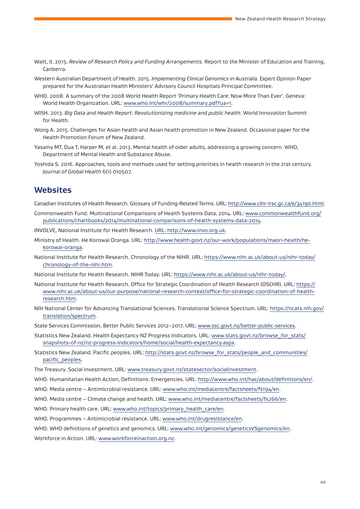- Watt, IJ. 2015. *Review of Research Policy and Funding Arrangements.* Report to the Minister of Education and Training, Canberra.
- Western Australian Department of Health. 2015. *Implementing Clinical Genomics in Australia.* Expert Opinion Paper prepared for the Australian Health Ministers' Advisory Council Hospitals Principal Committee.
- WHO. 2008. A summary of the 2008 World Health Report 'Primary Health Care: Now More Than Ever'. Geneva: World Health Organization. URL: www.who.int/whr/2008/summary.pdf?ua=1.
- WISH. 2013. *Big Data and Health Report: Revolutionizing medicine and public health.* World Innovation Summit for Health.
- Wong A. 2015. Challenges for Asian health and Asian health promotion in New Zealand. Occasional paper for the Health Promotion Forum of New Zealand.
- Yasamy MT, Dua T, Harper M, et al. 2013. Mental health of older adults, addressing a growing concern. WHO, Department of Mental Health and Substance Abuse.
- Yoshida S. 2016. Approaches, tools and methods used for setting priorities in health research in the 21st century. *Journal of Global Health* 6(1) 010507.

#### **Websites**

Canadian Institutes of Health Research. Glossary of Funding-Related Terms. URL: http://www.cihr-irsc.gc.ca/e/34190.html.

- Commonwealth Fund. Multinational Comparisons of Health Systems Data, 2014. URL: www.commonwealthfund.org/ publications/chartbooks/2014/multinational-comparisons-of-health-systems-data-2014.
- INVOLVE, National Institute for Health Research. URL: http://www.invo.org.uk.
- Ministry of Health. He Korowai Oranga. URL: http://www.health.govt.nz/our-work/populations/maori-health/hekorowai-oranga.
- National Institute for Health Research. Chronology of the NIHR. URL: https://www.nihr.ac.uk/about-us/nihr-today/ chronology-of-the-nihr.htm.
- National Institute for Health Research. NIHR Today. URL: https://www.nihr.ac.uk/about-us/nihr-today/.
- National Institute for Health Research. Office for Strategic Coordination of Health Research (OSCHR). URL: https:// www.nihr.ac.uk/about-us/our-purpose/national-research-context/office-for-strategic-coordination-of-healthresearch.htm.
- NIH National Center for Advancing Translational Sciences. Translational Science Spectrum. URL: https://ncats.nih.gov/ translation/spectrum.

State Services Commission. Better Public Services 2012–2017. URL: www.ssc.govt.nz/better-public-services.

- Statistics New Zealand. Health Expectancy NZ Progress Indicators. URL: www.stats.govt.nz/browse\_for\_stats/ snapshots-of-nz/nz-progress-indicators/home/social/health-expectancy.aspx.
- Statistics New Zealand. Pacific peoples. URL: http://stats.govt.nz/browse\_for\_stats/people\_and\_communities/ pacific\_peoples.
- The Treasury. Social investment. URL: www.treasury.govt.nz/statesector/socialinvestment.
- WHO. Humanitarian Health Action, Definitions: Emergencies. URL: http://www.who.int/hac/about/definitions/en/.
- WHO. Media centre Antimicrobial resistance. URL: www.who.int/mediacentre/factsheets/fs194/en.
- WHO. Media centre Climate change and health. URL: www.who.int/mediacentre/factsheets/fs266/en.
- WHO. Primary health care. URL: www.who.int/topics/primary\_health\_care/en.
- WHO. Programmes Antimicrobial resistance. URL: www.who.int/drugresistance/en.
- WHO. WHO definitions of genetics and genomics. URL: www.who.int/genomics/geneticsVSgenomics/en.

Workforce in Action. URL: www.workforceinaction.org.nz.